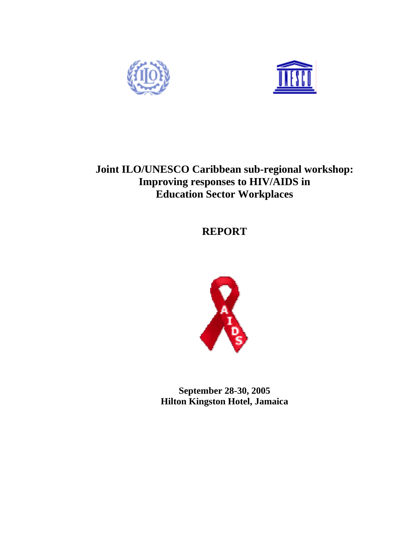



# **Joint ILO/UNESCO Caribbean sub-regional workshop: Improving responses to HIV/AIDS in Education Sector Workplaces**

# **REPORT**



**September 28-30, 2005 Hilton Kingston Hotel, Jamaica**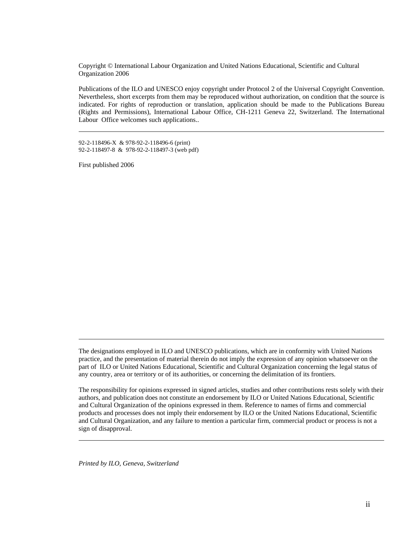Copyright © International Labour Organization and United Nations Educational, Scientific and Cultural Organization 2006

Publications of the ILO and UNESCO enjoy copyright under Protocol 2 of the Universal Copyright Convention. Nevertheless, short excerpts from them may be reproduced without authorization, on condition that the source is indicated. For rights of reproduction or translation, application should be made to the Publications Bureau (Rights and Permissions), International Labour Office, CH-1211 Geneva 22, Switzerland. The International Labour Office welcomes such applications..

92-2-118496-X & 978-92-2-118496-6 (print) 92-2-118497-8 & 978-92-2-118497-3 (web pdf)

First published 2006

The designations employed in ILO and UNESCO publications, which are in conformity with United Nations practice, and the presentation of material therein do not imply the expression of any opinion whatsoever on the part of ILO or United Nations Educational, Scientific and Cultural Organization concerning the legal status of any country, area or territory or of its authorities, or concerning the delimitation of its frontiers.

The responsibility for opinions expressed in signed articles, studies and other contributions rests solely with their authors, and publication does not constitute an endorsement by ILO or United Nations Educational, Scientific and Cultural Organization of the opinions expressed in them. Reference to names of firms and commercial products and processes does not imply their endorsement by ILO or the United Nations Educational, Scientific and Cultural Organization, and any failure to mention a particular firm, commercial product or process is not a sign of disapproval.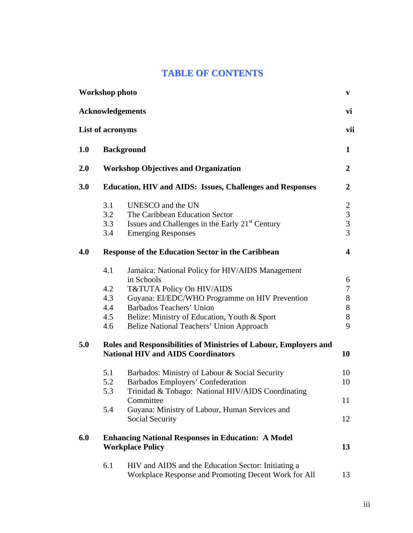# **TABLE OF CONTENTS**

|     | Workshop photo                         |                                                                                                                                                                                                                                                                              | $\mathbf{V}$                               |
|-----|----------------------------------------|------------------------------------------------------------------------------------------------------------------------------------------------------------------------------------------------------------------------------------------------------------------------------|--------------------------------------------|
|     |                                        | <b>Acknowledgements</b>                                                                                                                                                                                                                                                      | vi                                         |
|     | <b>List of acronyms</b>                |                                                                                                                                                                                                                                                                              | vii                                        |
| 1.0 |                                        | <b>Background</b>                                                                                                                                                                                                                                                            | $\mathbf{1}$                               |
| 2.0 |                                        | <b>Workshop Objectives and Organization</b>                                                                                                                                                                                                                                  | $\mathbf{2}$                               |
| 3.0 |                                        | <b>Education, HIV and AIDS: Issues, Challenges and Responses</b>                                                                                                                                                                                                             | $\mathbf{2}$                               |
|     | 3.1<br>3.2<br>3.3<br>3.4               | UNESCO and the UN<br>The Caribbean Education Sector<br>Issues and Challenges in the Early 21 <sup>st</sup> Century<br><b>Emerging Responses</b>                                                                                                                              | $\overline{2}$<br>3<br>$\mathfrak{Z}$<br>3 |
| 4.0 |                                        | <b>Response of the Education Sector in the Caribbean</b>                                                                                                                                                                                                                     | $\overline{\mathbf{4}}$                    |
|     | 4.1<br>4.2<br>4.3<br>4.4<br>4.5<br>4.6 | Jamaica: National Policy for HIV/AIDS Management<br>in Schools<br>T&TUTA Policy On HIV/AIDS<br>Guyana: EI/EDC/WHO Programme on HIV Prevention<br><b>Barbados Teachers' Union</b><br>Belize: Ministry of Education, Youth & Sport<br>Belize National Teachers' Union Approach | 6<br>7<br>8<br>8<br>8<br>9                 |
| 5.0 |                                        | Roles and Responsibilities of Ministries of Labour, Employers and<br><b>National HIV and AIDS Coordinators</b>                                                                                                                                                               | 10                                         |
|     | 5.1<br>5.2<br>5.3<br>5.4               | Barbados: Ministry of Labour & Social Security<br>Barbados Employers' Confederation<br>Trinidad & Tobago: National HIV/AIDS Coordinating<br>Committee<br>Guyana: Ministry of Labour, Human Services and                                                                      | 10<br>10<br>11                             |
|     |                                        | Social Security                                                                                                                                                                                                                                                              | 12                                         |
| 6.0 |                                        | <b>Enhancing National Responses in Education: A Model</b><br><b>Workplace Policy</b>                                                                                                                                                                                         | 13                                         |
|     | 6.1                                    | HIV and AIDS and the Education Sector: Initiating a<br>Workplace Response and Promoting Decent Work for All                                                                                                                                                                  | 13                                         |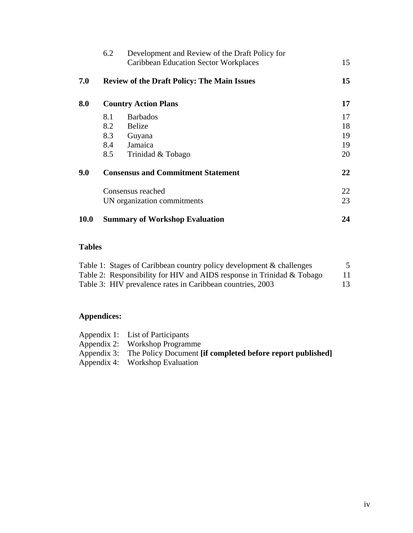|             | 6.2 | Development and Review of the Draft Policy for<br><b>Caribbean Education Sector Workplaces</b> | 15 |
|-------------|-----|------------------------------------------------------------------------------------------------|----|
| 7.0         |     | <b>Review of the Draft Policy: The Main Issues</b>                                             | 15 |
| 8.0         |     | <b>Country Action Plans</b>                                                                    | 17 |
|             | 8.1 | <b>Barbados</b>                                                                                | 17 |
|             | 8.2 | <b>Belize</b>                                                                                  | 18 |
|             | 8.3 | Guyana                                                                                         | 19 |
|             | 8.4 | Jamaica                                                                                        | 19 |
|             | 8.5 | Trinidad & Tobago                                                                              | 20 |
| 9.0         |     | <b>Consensus and Commitment Statement</b>                                                      | 22 |
|             |     | Consensus reached                                                                              | 22 |
|             |     | UN organization commitments                                                                    | 23 |
| <b>10.0</b> |     | <b>Summary of Workshop Evaluation</b>                                                          | 24 |

# **Tables**

| Table 1: Stages of Caribbean country policy development & challenges   | 5  |
|------------------------------------------------------------------------|----|
| Table 2: Responsibility for HIV and AIDS response in Trinidad & Tobago | 11 |
| Table 3: HIV prevalence rates in Caribbean countries, 2003             | 13 |

# **Appendices:**

| Appendix 1: List of Participants                                              |
|-------------------------------------------------------------------------------|
| Appendix 2: Workshop Programme                                                |
| Appendix 3: The Policy Document <b>[if completed before report published]</b> |
| Appendix 4: Workshop Evaluation                                               |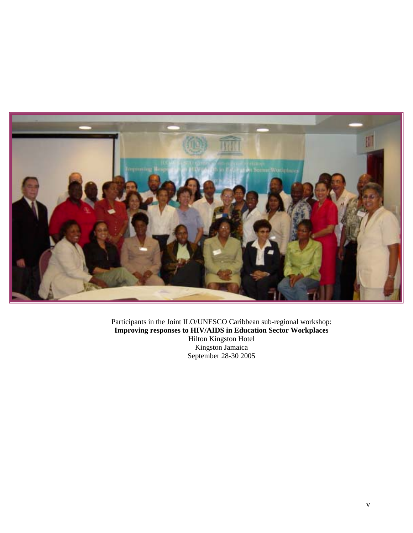

Participants in the Joint ILO/UNESCO Caribbean sub-regional workshop: **Improving responses to HIV/AIDS in Education Sector Workplaces**  Hilton Kingston Hotel Kingston Jamaica September 28-30 2005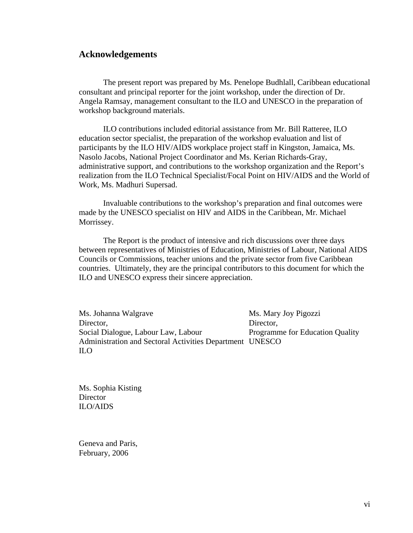### **Acknowledgements**

The present report was prepared by Ms. Penelope Budhlall, Caribbean educational consultant and principal reporter for the joint workshop, under the direction of Dr. Angela Ramsay, management consultant to the ILO and UNESCO in the preparation of workshop background materials.

ILO contributions included editorial assistance from Mr. Bill Ratteree, ILO education sector specialist, the preparation of the workshop evaluation and list of participants by the ILO HIV/AIDS workplace project staff in Kingston, Jamaica, Ms. Nasolo Jacobs, National Project Coordinator and Ms. Kerian Richards-Gray, administrative support, and contributions to the workshop organization and the Report's realization from the ILO Technical Specialist/Focal Point on HIV/AIDS and the World of Work, Ms. Madhuri Supersad.

Invaluable contributions to the workshop's preparation and final outcomes were made by the UNESCO specialist on HIV and AIDS in the Caribbean, Mr. Michael Morrissey.

The Report is the product of intensive and rich discussions over three days between representatives of Ministries of Education, Ministries of Labour, National AIDS Councils or Commissions, teacher unions and the private sector from five Caribbean countries. Ultimately, they are the principal contributors to this document for which the ILO and UNESCO express their sincere appreciation.

Ms. Johanna Walgrave Ms. Mary Joy Pigozzi Director, Director, Social Dialogue, Labour Law, Labour Programme for Education Quality Administration and Sectoral Activities Department UNESCO ILO

Ms. Sophia Kisting **Director** ILO/AIDS

Geneva and Paris, February, 2006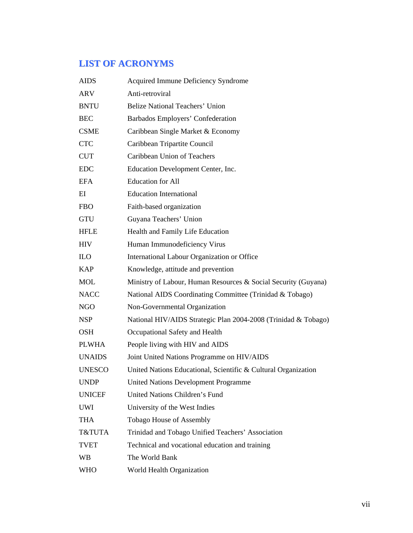# **LIST OF ACRONYMS**

| <b>AIDS</b>   | Acquired Immune Deficiency Syndrome                            |
|---------------|----------------------------------------------------------------|
| <b>ARV</b>    | Anti-retroviral                                                |
| <b>BNTU</b>   | <b>Belize National Teachers' Union</b>                         |
| <b>BEC</b>    | Barbados Employers' Confederation                              |
| <b>CSME</b>   | Caribbean Single Market & Economy                              |
| <b>CTC</b>    | Caribbean Tripartite Council                                   |
| <b>CUT</b>    | Caribbean Union of Teachers                                    |
| <b>EDC</b>    | Education Development Center, Inc.                             |
| <b>EFA</b>    | <b>Education</b> for All                                       |
| EI            | <b>Education International</b>                                 |
| <b>FBO</b>    | Faith-based organization                                       |
| <b>GTU</b>    | Guyana Teachers' Union                                         |
| <b>HFLE</b>   | Health and Family Life Education                               |
| <b>HIV</b>    | Human Immunodeficiency Virus                                   |
| <b>ILO</b>    | International Labour Organization or Office                    |
| <b>KAP</b>    | Knowledge, attitude and prevention                             |
| <b>MOL</b>    | Ministry of Labour, Human Resources & Social Security (Guyana) |
| <b>NACC</b>   | National AIDS Coordinating Committee (Trinidad & Tobago)       |
| <b>NGO</b>    | Non-Governmental Organization                                  |
| <b>NSP</b>    | National HIV/AIDS Strategic Plan 2004-2008 (Trinidad & Tobago) |
| <b>OSH</b>    | Occupational Safety and Health                                 |
| <b>PLWHA</b>  | People living with HIV and AIDS                                |
| <b>UNAIDS</b> | Joint United Nations Programme on HIV/AIDS                     |
| <b>UNESCO</b> | United Nations Educational, Scientific & Cultural Organization |
| <b>UNDP</b>   | <b>United Nations Development Programme</b>                    |
| <b>UNICEF</b> | United Nations Children's Fund                                 |
| <b>UWI</b>    | University of the West Indies                                  |
| <b>THA</b>    | Tobago House of Assembly                                       |
| T&TUTA        | Trinidad and Tobago Unified Teachers' Association              |
| <b>TVET</b>   | Technical and vocational education and training                |
| <b>WB</b>     | The World Bank                                                 |
| <b>WHO</b>    | World Health Organization                                      |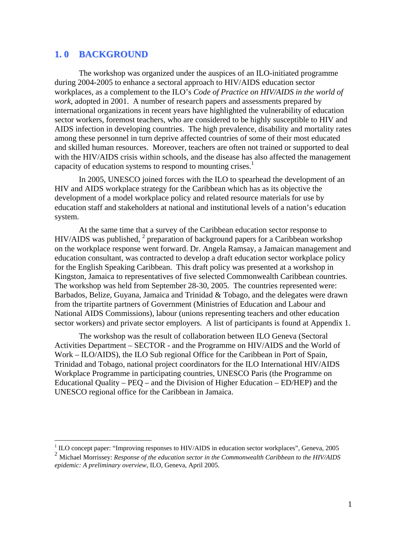## **1. 0 BACKGROUND**

The workshop was organized under the auspices of an ILO-initiated programme during 2004-2005 to enhance a sectoral approach to HIV/AIDS education sector workplaces, as a complement to the ILO's *Code of Practice on HIV/AIDS in the world of work*, adopted in 2001. A number of research papers and assessments prepared by international organizations in recent years have highlighted the vulnerability of education sector workers, foremost teachers, who are considered to be highly susceptible to HIV and AIDS infection in developing countries. The high prevalence, disability and mortality rates among these personnel in turn deprive affected countries of some of their most educated and skilled human resources. Moreover, teachers are often not trained or supported to deal with the HIV/AIDS crisis within schools, and the disease has also affected the management capacity of education systems to respond to mounting crises.<sup>[1](#page-7-0)</sup>

In 2005, UNESCO joined forces with the ILO to spearhead the development of an HIV and AIDS workplace strategy for the Caribbean which has as its objective the development of a model workplace policy and related resource materials for use by education staff and stakeholders at national and institutional levels of a nation's education system.

At the same time that a survey of the Caribbean education sector response to  $HIV/ALDS$  was published, <sup>[2](#page-7-1)</sup> preparation of background papers for a Caribbean workshop on the workplace response went forward. Dr. Angela Ramsay, a Jamaican management and education consultant, was contracted to develop a draft education sector workplace policy for the English Speaking Caribbean. This draft policy was presented at a workshop in Kingston, Jamaica to representatives of five selected Commonwealth Caribbean countries. The workshop was held from September 28-30, 2005. The countries represented were: Barbados, Belize, Guyana, Jamaica and Trinidad & Tobago, and the delegates were drawn from the tripartite partners of Government (Ministries of Education and Labour and National AIDS Commissions), labour (unions representing teachers and other education sector workers) and private sector employers. A list of participants is found at Appendix 1.

The workshop was the result of collaboration between ILO Geneva (Sectoral Activities Department – SECTOR - and the Programme on [HIV/AIDS and the World of](http://www.ilo.org/public/english/protection/trav/aids/index.htm)  [Work](http://www.ilo.org/public/english/protection/trav/aids/index.htm) – ILO/AIDS), the ILO Sub regional [Office for the Caribbean](http://www.ilocarib.org.tt/) in Port of Spain, Trinidad and Tobago, national project coordinators for the ILO International HIV/AIDS Workplace Programme in participating countries, UNESCO Paris (the Programme on Educational Quality – PEQ – and the Division of Higher Education – ED/HEP) and the UNESCO regional office for the Caribbean in Jamaica.

<span id="page-7-0"></span>THE 1 ILO concept paper: "Improving responses to HIV/AIDS in education sector workplaces", Geneva, 2005

<span id="page-7-1"></span><sup>2</sup> Michael Morrissey: *Response of the education sector in the Commonwealth Caribbean to the HIV/AIDS epidemic: A preliminary overview*, ILO, Geneva, April 2005.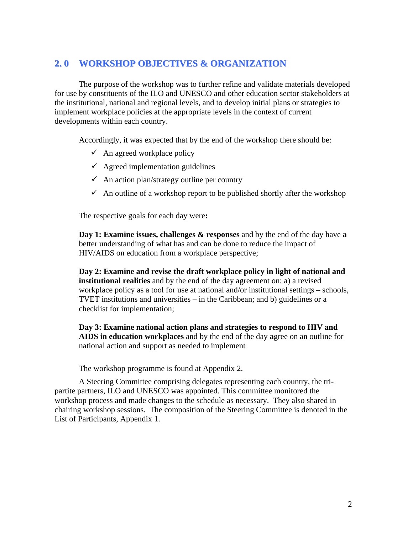# **2. 0 WORKSHOP OBJECTIVES & ORGANIZATION**

The purpose of the workshop was to further refine and validate materials developed for use by constituents of the ILO and UNESCO and other education sector stakeholders at the institutional, national and regional levels, and to develop initial plans or strategies to implement workplace policies at the appropriate levels in the context of current developments within each country.

Accordingly, it was expected that by the end of the workshop there should be:

- $\checkmark$  An agreed workplace policy
- $\checkmark$  Agreed implementation guidelines
- $\checkmark$  An action plan/strategy outline per country
- $\checkmark$  An outline of a workshop report to be published shortly after the workshop

The respective goals for each day were**:** 

**Day 1: Examine issues, challenges & responses** and by the end of the day have **a** better understanding of what has and can be done to reduce the impact of HIV/AIDS on education from a workplace perspective;

**Day 2: Examine and revise the draft workplace policy in light of national and institutional realities** and by the end of the day agreement on: a) a revised workplace policy as a tool for use at national and/or institutional settings – schools, TVET institutions and universities – in the Caribbean; and b) guidelines or a checklist for implementation;

**Day 3: Examine national action plans and strategies to respond to HIV and AIDS in education workplaces** and by the end of the day **a**gree on an outline for national action and support as needed to implement

The workshop programme is found at Appendix 2.

A Steering Committee comprising delegates representing each country, the tripartite partners, ILO and UNESCO was appointed. This committee monitored the workshop process and made changes to the schedule as necessary. They also shared in chairing workshop sessions. The composition of the Steering Committee is denoted in the List of Participants, Appendix 1.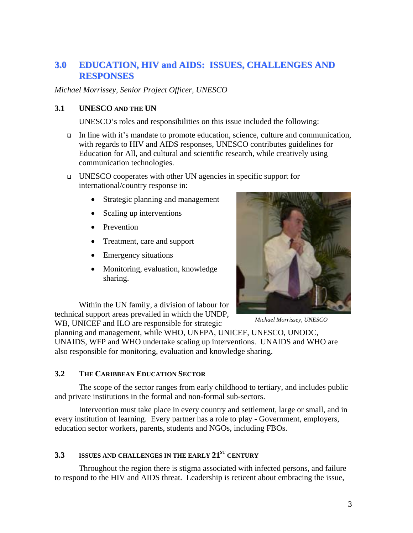# **3.0 EDUCATION, HIV and AIDS: ISSUES, CHALLENGES AND RESPONSES**

### *Michael Morrissey, Senior Project Officer, UNESCO*

### **3.1 UNESCO AND THE UN**

UNESCO's roles and responsibilities on this issue included the following:

- $\Box$  In line with it's mandate to promote education, science, culture and communication, with regards to HIV and AIDS responses, UNESCO contributes guidelines for Education for All, and cultural and scientific research, while creatively using communication technologies.
- " UNESCO cooperates with other UN agencies in specific support for international/country response in:
	- Strategic planning and management
	- Scaling up interventions
	- Prevention
	- Treatment, care and support
	- Emergency situations
	- Monitoring, evaluation, knowledge sharing.

Within the UN family, a division of labour for technical support areas prevailed in which the UNDP, WB, UNICEF and ILO are responsible for strategic



*Michael Morrissey, UNESCO* 

planning and management, while WHO, UNFPA, UNICEF, UNESCO, UNODC, UNAIDS, WFP and WHO undertake scaling up interventions. UNAIDS and WHO are also responsible for monitoring, evaluation and knowledge sharing.

## **3.2 THE CARIBBEAN EDUCATION SECTOR**

The scope of the sector ranges from early childhood to tertiary, and includes public and private institutions in the formal and non-formal sub-sectors.

Intervention must take place in every country and settlement, large or small, and in every institution of learning. Every partner has a role to play - Government, employers, education sector workers, parents, students and NGOs, including FBOs.

# **3.3** ISSUES AND CHALLENGES IN THE EARLY 21<sup>ST</sup> CENTURY

Throughout the region there is stigma associated with infected persons, and failure to respond to the HIV and AIDS threat. Leadership is reticent about embracing the issue,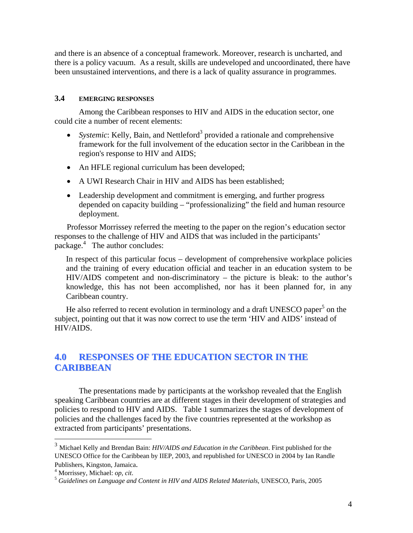and there is an absence of a conceptual framework. Moreover, research is uncharted, and there is a policy vacuum. As a result, skills are undeveloped and uncoordinated, there have been unsustained interventions, and there is a lack of quality assurance in programmes.

#### **3.4 EMERGING RESPONSES**

Among the Caribbean responses to HIV and AIDS in the education sector, one could cite a number of recent elements:

- *Systemic*: Kelly, Bain, and Nettleford<sup>3</sup> provided a rationale and comprehensive framework for the full involvement of the education sector in the Caribbean in the region's response to HIV and AIDS;
- An HFLE regional curriculum has been developed;
- A UWI Research Chair in HIV and AIDS has been established;
- Leadership development and commitment is emerging, and further progress depended on capacity building – "professionalizing" the field and human resource deployment.

Professor Morrissey referred the meeting to the paper on the region's education sector responses to the challenge of HIV and AIDS that was included in the participants' package[.4](#page-10-1) The author concludes:

In respect of this particular focus – development of comprehensive workplace policies and the training of every education official and teacher in an education system to be HIV/AIDS competent and non-discriminatory – the picture is bleak: to the author's knowledge, this has not been accomplished, nor has it been planned for, in any Caribbean country.

He also referred to recent evolution in terminology and a draft UNESCO paper<sup>[5](#page-10-2)</sup> on the subject, pointing out that it was now correct to use the term 'HIV and AIDS' instead of HIV/AIDS.

# **4.0 RESPONSES OF THE EDUCATION SECTOR IN THE CARIBBEAN**

The presentations made by participants at the workshop revealed that the English speaking Caribbean countries are at different stages in their development of strategies and policies to respond to HIV and AIDS. Table 1 summarizes the stages of development of policies and the challenges faced by the five countries represented at the workshop as extracted from participants' presentations.

1

<span id="page-10-0"></span><sup>3</sup> Michael Kelly and Brendan Bain: *HIV/AIDS and Education in the Caribbean*. First published for the UNESCO Office for the Caribbean by IIEP, 2003, and republished for UNESCO in 2004 by Ian Randle Publishers, Kingston, Jamaica.<br><sup>4</sup> Morrissey, Michael: *op*, cit.

<span id="page-10-1"></span>

<span id="page-10-2"></span>Morrissey, Michael: *op, cit*. 5 *Guidelines on Language and Content in HIV and AIDS Related Materials,* UNESCO, Paris, 2005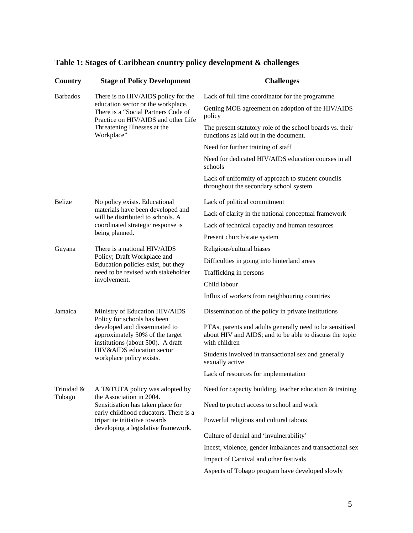|  |  |  |  | Table 1: Stages of Caribbean country policy development & challenges |
|--|--|--|--|----------------------------------------------------------------------|
|  |  |  |  |                                                                      |

| Country              | <b>Stage of Policy Development</b>                                                                                                                                                            | <b>Challenges</b>                                                                                                                    |
|----------------------|-----------------------------------------------------------------------------------------------------------------------------------------------------------------------------------------------|--------------------------------------------------------------------------------------------------------------------------------------|
| <b>Barbados</b>      | There is no HIV/AIDS policy for the<br>education sector or the workplace.<br>There is a "Social Partners Code of<br>Practice on HIV/AIDS and other Life                                       | Lack of full time coordinator for the programme                                                                                      |
|                      |                                                                                                                                                                                               | Getting MOE agreement on adoption of the HIV/AIDS<br>policy                                                                          |
|                      | Threatening Illnesses at the<br>Workplace"                                                                                                                                                    | The present statutory role of the school boards vs. their<br>functions as laid out in the document.                                  |
|                      |                                                                                                                                                                                               | Need for further training of staff                                                                                                   |
|                      |                                                                                                                                                                                               | Need for dedicated HIV/AIDS education courses in all<br>schools                                                                      |
|                      |                                                                                                                                                                                               | Lack of uniformity of approach to student councils<br>throughout the secondary school system                                         |
| Belize               | No policy exists. Educational                                                                                                                                                                 | Lack of political commitment                                                                                                         |
|                      | materials have been developed and<br>will be distributed to schools. A                                                                                                                        | Lack of clarity in the national conceptual framework                                                                                 |
|                      | coordinated strategic response is                                                                                                                                                             | Lack of technical capacity and human resources                                                                                       |
|                      | being planned.                                                                                                                                                                                | Present church/state system                                                                                                          |
| Guyana               | There is a national HIV/AIDS                                                                                                                                                                  | Religious/cultural biases                                                                                                            |
|                      | Policy; Draft Workplace and<br>Education policies exist, but they                                                                                                                             | Difficulties in going into hinterland areas                                                                                          |
|                      | need to be revised with stakeholder<br>involvement.                                                                                                                                           | Trafficking in persons                                                                                                               |
|                      |                                                                                                                                                                                               | Child labour                                                                                                                         |
|                      |                                                                                                                                                                                               | Influx of workers from neighbouring countries                                                                                        |
| Jamaica              | Ministry of Education HIV/AIDS                                                                                                                                                                | Dissemination of the policy in private institutions                                                                                  |
|                      | Policy for schools has been<br>developed and disseminated to<br>approximately 50% of the target<br>institutions (about 500). A draft<br>HIV&AIDS education sector<br>workplace policy exists. | PTAs, parents and adults generally need to be sensitised<br>about HIV and AIDS; and to be able to discuss the topic<br>with children |
|                      |                                                                                                                                                                                               | Students involved in transactional sex and generally<br>sexually active                                                              |
|                      |                                                                                                                                                                                               | Lack of resources for implementation                                                                                                 |
| Trinidad &<br>Tobago | A T&TUTA policy was adopted by<br>the Association in 2004.                                                                                                                                    | Need for capacity building, teacher education & training                                                                             |
|                      | Sensitisation has taken place for                                                                                                                                                             | Need to protect access to school and work                                                                                            |
|                      | early childhood educators. There is a<br>tripartite initiative towards<br>developing a legislative framework.                                                                                 | Powerful religious and cultural taboos                                                                                               |
|                      |                                                                                                                                                                                               | Culture of denial and 'invulnerability'                                                                                              |
|                      |                                                                                                                                                                                               | Incest, violence, gender imbalances and transactional sex                                                                            |
|                      |                                                                                                                                                                                               | Impact of Carnival and other festivals                                                                                               |
|                      |                                                                                                                                                                                               | Aspects of Tobago program have developed slowly                                                                                      |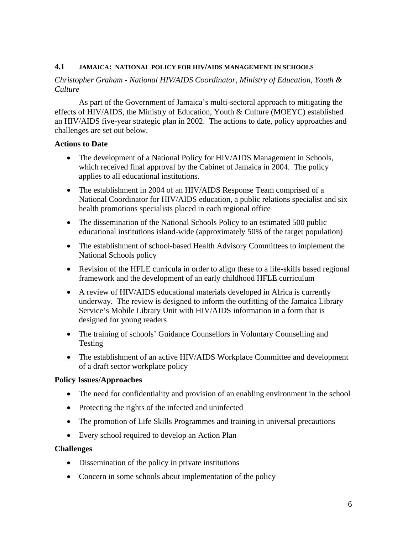#### **4.1 JAMAICA: NATIONAL POLICY FOR HIV/AIDS MANAGEMENT IN SCHOOLS**

#### *Christopher Graham - National HIV/AIDS Coordinator, Ministry of Education, Youth & Culture*

As part of the Government of Jamaica's multi-sectoral approach to mitigating the effects of HIV/AIDS, the Ministry of Education, Youth & Culture (MOEYC) established an HIV/AIDS five-year strategic plan in 2002. The actions to date, policy approaches and challenges are set out below.

#### **Actions to Date**

- The development of a National Policy for HIV/AIDS Management in Schools, which received final approval by the Cabinet of Jamaica in 2004. The policy applies to all educational institutions.
- The establishment in 2004 of an HIV/AIDS Response Team comprised of a National Coordinator for HIV/AIDS education, a public relations specialist and six health promotions specialists placed in each regional office
- The dissemination of the National Schools Policy to an estimated 500 public educational institutions island-wide (approximately 50% of the target population)
- The establishment of school-based Health Advisory Committees to implement the National Schools policy
- Revision of the HFLE curricula in order to align these to a life-skills based regional framework and the development of an early childhood HFLE curriculum
- A review of HIV/AIDS educational materials developed in Africa is currently underway. The review is designed to inform the outfitting of the Jamaica Library Service's Mobile Library Unit with HIV/AIDS information in a form that is designed for young readers
- The training of schools' Guidance Counsellors in Voluntary Counselling and Testing
- The establishment of an active HIV/AIDS Workplace Committee and development of a draft sector workplace policy

#### **Policy Issues/Approaches**

- The need for confidentiality and provision of an enabling environment in the school
- Protecting the rights of the infected and uninfected
- The promotion of Life Skills Programmes and training in universal precautions
- Every school required to develop an Action Plan

#### **Challenges**

- Dissemination of the policy in private institutions
- Concern in some schools about implementation of the policy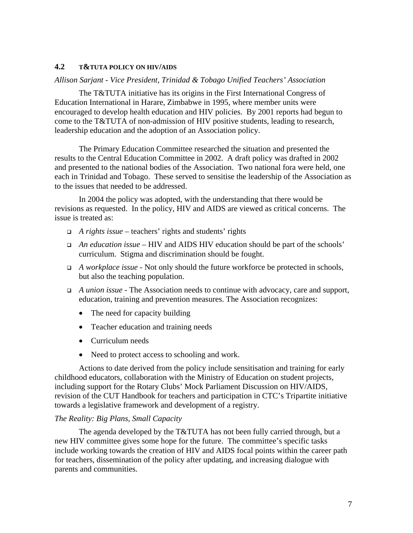#### **4.2 T&TUTA POLICY ON HIV/AIDS**

*Allison Sarjant - Vice President, Trinidad & Tobago Unified Teachers' Association*

The T&TUTA initiative has its origins in the First International Congress of Education International in Harare, Zimbabwe in 1995, where member units were encouraged to develop health education and HIV policies. By 2001 reports had begun to come to the T&TUTA of non-admission of HIV positive students, leading to research, leadership education and the adoption of an Association policy.

The Primary Education Committee researched the situation and presented the results to the Central Education Committee in 2002. A draft policy was drafted in 2002 and presented to the national bodies of the Association. Two national fora were held, one each in Trinidad and Tobago. These served to sensitise the leadership of the Association as to the issues that needed to be addressed.

In 2004 the policy was adopted, with the understanding that there would be revisions as requested. In the policy, HIV and AIDS are viewed as critical concerns. The issue is treated as:

- " *A rights issue* teachers' rights and students' rights
- " *An education issue* HIV and AIDS HIV education should be part of the schools' curriculum. Stigma and discrimination should be fought.
- " *A workplace issue* Not only should the future workforce be protected in schools, but also the teaching population.
- " *A union issue* The Association needs to continue with advocacy, care and support, education, training and prevention measures. The Association recognizes:
	- The need for capacity building
	- Teacher education and training needs
	- Curriculum needs
	- Need to protect access to schooling and work.

Actions to date derived from the policy include sensitisation and training for early childhood educators, collaboration with the Ministry of Education on student projects, including support for the Rotary Clubs' Mock Parliament Discussion on HIV/AIDS, revision of the CUT Handbook for teachers and participation in CTC's Tripartite initiative towards a legislative framework and development of a registry.

#### *The Reality: Big Plans, Small Capacity*

The agenda developed by the T&TUTA has not been fully carried through, but a new HIV committee gives some hope for the future. The committee's specific tasks include working towards the creation of HIV and AIDS focal points within the career path for teachers, dissemination of the policy after updating, and increasing dialogue with parents and communities.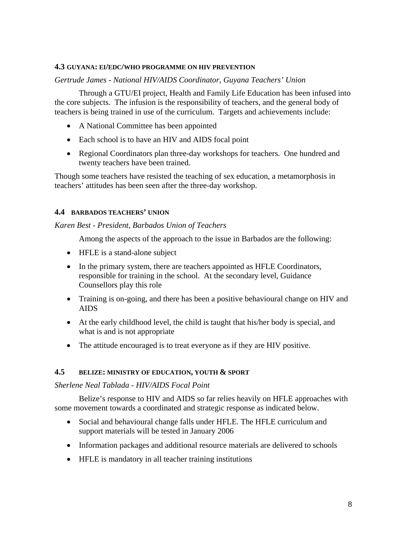#### **4.3 GUYANA: EI/EDC/WHO PROGRAMME ON HIV PREVENTION**

#### *Gertrude James - National HIV/AIDS Coordinator, Guyana Teachers' Union*

Through a GTU/EI project, Health and Family Life Education has been infused into the core subjects. The infusion is the responsibility of teachers, and the general body of teachers is being trained in use of the curriculum. Targets and achievements include:

- A National Committee has been appointed
- Each school is to have an HIV and AIDS focal point
- Regional Coordinators plan three-day workshops for teachers. One hundred and twenty teachers have been trained.

Though some teachers have resisted the teaching of sex education, a metamorphosis in teachers' attitudes has been seen after the three-day workshop.

### **4.4 BARBADOS TEACHERS' UNION**

*Karen Best - President, Barbados Union of Teachers* 

Among the aspects of the approach to the issue in Barbados are the following:

- HFLE is a stand-alone subject
- In the primary system, there are teachers appointed as HFLE Coordinators, responsible for training in the school. At the secondary level, Guidance Counsellors play this role
- Training is on-going, and there has been a positive behavioural change on HIV and AIDS
- At the early childhood level, the child is taught that his/her body is special, and what is and is not appropriate
- The attitude encouraged is to treat everyone as if they are HIV positive.

#### **4.5 BELIZE: MINISTRY OF EDUCATION, YOUTH & SPORT**

#### *Sherlene Neal Tablada - HIV/AIDS Focal Point*

Belize's response to HIV and AIDS so far relies heavily on HFLE approaches with some movement towards a coordinated and strategic response as indicated below.

- Social and behavioural change falls under HFLE. The HFLE curriculum and support materials will be tested in January 2006
- Information packages and additional resource materials are delivered to schools
- HFLE is mandatory in all teacher training institutions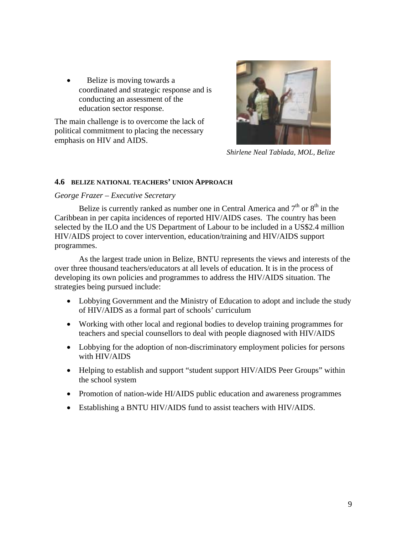• Belize is moving towards a coordinated and strategic response and is conducting an assessment of the education sector response.

The main challenge is to overcome the lack of political commitment to placing the necessary emphasis on HIV and AIDS.



*Shirlene Neal Tablada, MOL, Belize* 

## **4.6 BELIZE NATIONAL TEACHERS' UNION APPROACH**

#### *George Frazer – Executive Secretary*

Belize is currently ranked as number one in Central America and  $7<sup>th</sup>$  or  $8<sup>th</sup>$  in the Caribbean in per capita incidences of reported HIV/AIDS cases. The country has been selected by the ILO and the US Department of Labour to be included in a US\$2.4 million HIV/AIDS project to cover intervention, education/training and HIV/AIDS support programmes.

As the largest trade union in Belize, BNTU represents the views and interests of the over three thousand teachers/educators at all levels of education. It is in the process of developing its own policies and programmes to address the HIV/AIDS situation. The strategies being pursued include:

- Lobbying Government and the Ministry of Education to adopt and include the study of HIV/AIDS as a formal part of schools' curriculum
- Working with other local and regional bodies to develop training programmes for teachers and special counsellors to deal with people diagnosed with HIV/AIDS
- Lobbying for the adoption of non-discriminatory employment policies for persons with HIV/AIDS
- Helping to establish and support "student support HIV/AIDS Peer Groups" within the school system
- Promotion of nation-wide HI/AIDS public education and awareness programmes
- Establishing a BNTU HIV/AIDS fund to assist teachers with HIV/AIDS.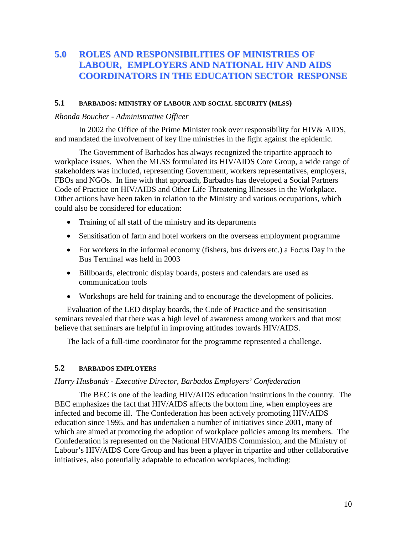# **5.0 ROLES AND RESPONSIBILITIES OF MINISTRIES OF LABOUR, EMPLOYERS AND NATIONAL HIV AND AIDS COORDINATORS IN THE EDUCATION SECTOR RESPONSE**

#### **5.1 BARBADOS: MINISTRY OF LABOUR AND SOCIAL SECURITY (MLSS)**

#### *Rhonda Boucher - Administrative Officer*

In 2002 the Office of the Prime Minister took over responsibility for HIV& AIDS, and mandated the involvement of key line ministries in the fight against the epidemic.

The Government of Barbados has always recognized the tripartite approach to workplace issues. When the MLSS formulated its HIV/AIDS Core Group, a wide range of stakeholders was included, representing Government, workers representatives, employers, FBOs and NGOs. In line with that approach, Barbados has developed a Social Partners Code of Practice on HIV/AIDS and Other Life Threatening Illnesses in the Workplace. Other actions have been taken in relation to the Ministry and various occupations, which could also be considered for education:

- Training of all staff of the ministry and its departments
- Sensitisation of farm and hotel workers on the overseas employment programme
- For workers in the informal economy (fishers, bus drivers etc.) a Focus Day in the Bus Terminal was held in 2003
- Billboards, electronic display boards, posters and calendars are used as communication tools
- Workshops are held for training and to encourage the development of policies.

Evaluation of the LED display boards, the Code of Practice and the sensitisation seminars revealed that there was a high level of awareness among workers and that most believe that seminars are helpful in improving attitudes towards HIV/AIDS.

The lack of a full-time coordinator for the programme represented a challenge.

### **5.2 BARBADOS EMPLOYERS**

#### *Harry Husbands - Executive Director, Barbados Employers' Confederation*

The BEC is one of the leading HIV/AIDS education institutions in the country. The BEC emphasizes the fact that HIV/AIDS affects the bottom line, when employees are infected and become ill. The Confederation has been actively promoting HIV/AIDS education since 1995, and has undertaken a number of initiatives since 2001, many of which are aimed at promoting the adoption of workplace policies among its members. The Confederation is represented on the National HIV/AIDS Commission, and the Ministry of Labour's HIV/AIDS Core Group and has been a player in tripartite and other collaborative initiatives, also potentially adaptable to education workplaces, including: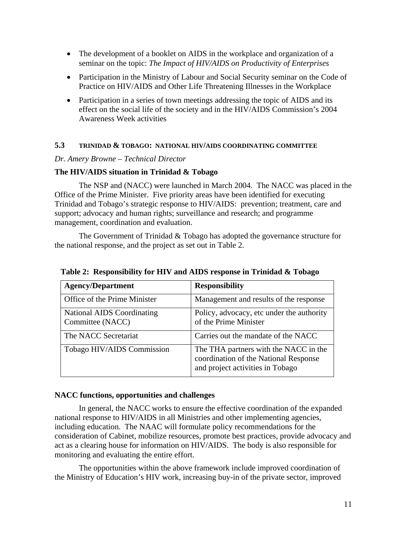- The development of a booklet on AIDS in the workplace and organization of a seminar on the topic: *The Impact of HIV/AIDS on Productivity of Enterprises*
- Participation in the Ministry of Labour and Social Security seminar on the Code of Practice on HIV/AIDS and Other Life Threatening Illnesses in the Workplace
- Participation in a series of town meetings addressing the topic of AIDS and its effect on the social life of the society and in the HIV/AIDS Commission's 2004 Awareness Week activities

### **5.3 TRINIDAD & TOBAGO: NATIONAL HIV/AIDS COORDINATING COMMITTEE**

*Dr. Amery Browne – Technical Director* 

#### **The HIV/AIDS situation in Trinidad & Tobago**

The NSP and (NACC) were launched in March 2004. The NACC was placed in the Office of the Prime Minister. Five priority areas have been identified for executing Trinidad and Tobago's strategic response to HIV/AIDS: prevention; treatment, care and support; advocacy and human rights; surveillance and research; and programme management, coordination and evaluation.

The Government of Trinidad & Tobago has adopted the governance structure for the national response, and the project as set out in Table 2.

| <b>Agency/Department</b>                              | <b>Responsibility</b>                                                                                              |
|-------------------------------------------------------|--------------------------------------------------------------------------------------------------------------------|
| Office of the Prime Minister                          | Management and results of the response                                                                             |
| <b>National AIDS Coordinating</b><br>Committee (NACC) | Policy, advocacy, etc under the authority<br>of the Prime Minister                                                 |
| The NACC Secretariat                                  | Carries out the mandate of the NACC                                                                                |
| Tobago HIV/AIDS Commission                            | The THA partners with the NACC in the<br>coordination of the National Response<br>and project activities in Tobago |

 **Table 2: Responsibility for HIV and AIDS response in Trinidad & Tobago** 

#### **NACC functions, opportunities and challenges**

In general, the NACC works to ensure the effective coordination of the expanded national response to HIV/AIDS in all Ministries and other implementing agencies, including education. The NAAC will formulate policy recommendations for the consideration of Cabinet, mobilize resources, promote best practices, provide advocacy and act as a clearing house for information on HIV/AIDS. The body is also responsible for monitoring and evaluating the entire effort.

The opportunities within the above framework include improved coordination of the Ministry of Education's HIV work, increasing buy-in of the private sector, improved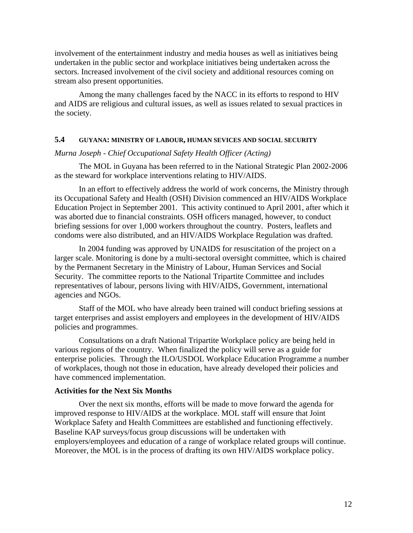involvement of the entertainment industry and media houses as well as initiatives being undertaken in the public sector and workplace initiatives being undertaken across the sectors. Increased involvement of the civil society and additional resources coming on stream also present opportunities.

Among the many challenges faced by the NACC in its efforts to respond to HIV and AIDS are religious and cultural issues, as well as issues related to sexual practices in the society.

#### **5.4 GUYANA: MINISTRY OF LABOUR, HUMAN SEVICES AND SOCIAL SECURITY**

#### *Murna Joseph - Chief Occupational Safety Health Officer (Acting)*

The MOL in Guyana has been referred to in the National Strategic Plan 2002-2006 as the steward for workplace interventions relating to HIV/AIDS.

In an effort to effectively address the world of work concerns, the Ministry through its Occupational Safety and Health (OSH) Division commenced an HIV/AIDS Workplace Education Project in September 2001. This activity continued to April 2001, after which it was aborted due to financial constraints. OSH officers managed, however, to conduct briefing sessions for over 1,000 workers throughout the country. Posters, leaflets and condoms were also distributed, and an HIV/AIDS Workplace Regulation was drafted.

In 2004 funding was approved by UNAIDS for resuscitation of the project on a larger scale. Monitoring is done by a multi-sectoral oversight committee, which is chaired by the Permanent Secretary in the Ministry of Labour, Human Services and Social Security. The committee reports to the National Tripartite Committee and includes representatives of labour, persons living with HIV/AIDS, Government, international agencies and NGOs.

Staff of the MOL who have already been trained will conduct briefing sessions at target enterprises and assist employers and employees in the development of HIV/AIDS policies and programmes.

Consultations on a draft National Tripartite Workplace policy are being held in various regions of the country. When finalized the policy will serve as a guide for enterprise policies. Through the ILO/USDOL Workplace Education Programme a number of workplaces, though not those in education, have already developed their policies and have commenced implementation.

#### **Activities for the Next Six Months**

Over the next six months, efforts will be made to move forward the agenda for improved response to HIV/AIDS at the workplace. MOL staff will ensure that Joint Workplace Safety and Health Committees are established and functioning effectively. Baseline KAP surveys/focus group discussions will be undertaken with employers/employees and education of a range of workplace related groups will continue. Moreover, the MOL is in the process of drafting its own HIV/AIDS workplace policy.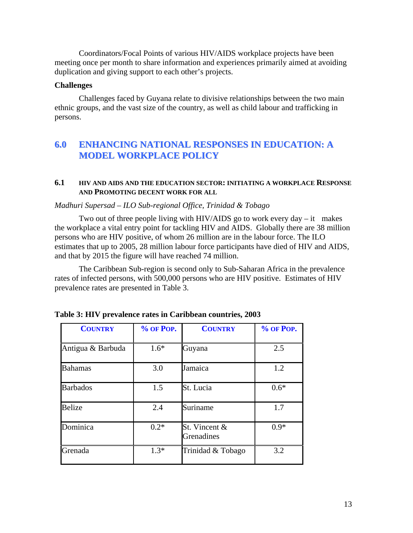Coordinators/Focal Points of various HIV/AIDS workplace projects have been meeting once per month to share information and experiences primarily aimed at avoiding duplication and giving support to each other's projects.

#### **Challenges**

Challenges faced by Guyana relate to divisive relationships between the two main ethnic groups, and the vast size of the country, as well as child labour and trafficking in persons.

# **6.0 ENHANCING NATIONAL RESPONSES IN EDUCATION: A MODEL WORKPLACE POLICY**

### **6.1 HIV AND AIDS AND THE EDUCATION SECTOR: INITIATING A WORKPLACE RESPONSE AND PROMOTING DECENT WORK FOR ALL**

#### *Madhuri Supersad – ILO Sub-regional Office, Trinidad & Tobago*

Two out of three people living with HIV/AIDS go to work every day  $-$  it makes the workplace a vital entry point for tackling HIV and AIDS. Globally there are 38 million persons who are HIV positive, of whom 26 million are in the labour force. The ILO estimates that up to 2005, 28 million labour force participants have died of HIV and AIDS, and that by 2015 the figure will have reached 74 million.

The Caribbean Sub-region is second only to Sub-Saharan Africa in the prevalence rates of infected persons, with 500,000 persons who are HIV positive. Estimates of HIV prevalence rates are presented in Table 3.

| <b>COUNTRY</b>    | % OF POP. | <b>COUNTRY</b>              | % OF POP. |
|-------------------|-----------|-----------------------------|-----------|
| Antigua & Barbuda | $1.6*$    | Guyana                      | 2.5       |
| <b>Bahamas</b>    | 3.0       | Jamaica                     | 1.2       |
| <b>Barbados</b>   | 1.5       | St. Lucia                   | $0.6*$    |
| <b>Belize</b>     | 2.4       | Suriname                    | 1.7       |
| Dominica          | $0.2*$    | St. Vincent &<br>Grenadines | $0.9*$    |
| Grenada           | $1.3*$    | Trinidad & Tobago           | 3.2       |

|  | Table 3: HIV prevalence rates in Caribbean countries, 2003 |  |  |
|--|------------------------------------------------------------|--|--|
|--|------------------------------------------------------------|--|--|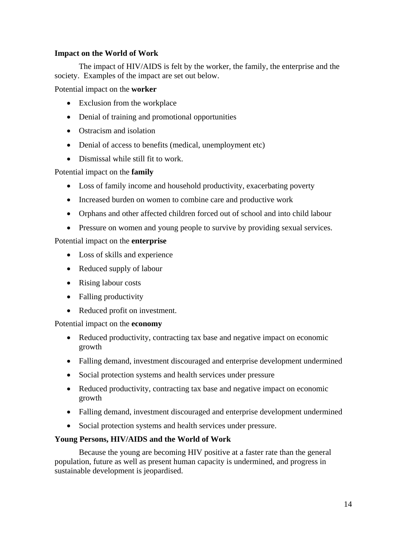### **Impact on the World of Work**

The impact of HIV/AIDS is felt by the worker, the family, the enterprise and the society. Examples of the impact are set out below.

Potential impact on the **worker**

- Exclusion from the workplace
- Denial of training and promotional opportunities
- Ostracism and isolation
- Denial of access to benefits (medical, unemployment etc)
- Dismissal while still fit to work.

Potential impact on the **family**

- Loss of family income and household productivity, exacerbating poverty
- Increased burden on women to combine care and productive work
- Orphans and other affected children forced out of school and into child labour
- Pressure on women and young people to survive by providing sexual services.

## Potential impact on the **enterprise**

- Loss of skills and experience
- Reduced supply of labour
- Rising labour costs
- Falling productivity
- Reduced profit on investment.

Potential impact on the **economy**

- Reduced productivity, contracting tax base and negative impact on economic growth
- Falling demand, investment discouraged and enterprise development undermined
- Social protection systems and health services under pressure
- Reduced productivity, contracting tax base and negative impact on economic growth
- Falling demand, investment discouraged and enterprise development undermined
- Social protection systems and health services under pressure.

# **Young Persons, HIV/AIDS and the World of Work**

Because the young are becoming HIV positive at a faster rate than the general population, future as well as present human capacity is undermined, and progress in sustainable development is jeopardised.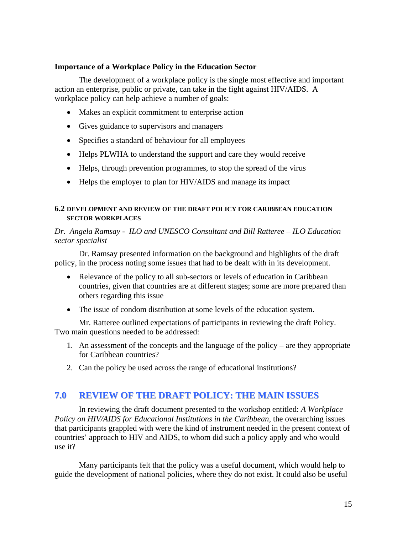#### **Importance of a Workplace Policy in the Education Sector**

The development of a workplace policy is the single most effective and important action an enterprise, public or private, can take in the fight against HIV/AIDS. A workplace policy can help achieve a number of goals:

- Makes an explicit commitment to enterprise action
- Gives guidance to supervisors and managers
- Specifies a standard of behaviour for all employees
- Helps PLWHA to understand the support and care they would receive
- Helps, through prevention programmes, to stop the spread of the virus
- Helps the employer to plan for HIV/AIDS and manage its impact

#### **6.2 DEVELOPMENT AND REVIEW OF THE DRAFT POLICY FOR CARIBBEAN EDUCATION SECTOR WORKPLACES**

*Dr. Angela Ramsay - ILO and UNESCO Consultant and Bill Ratteree – ILO Education sector specialist* 

Dr. Ramsay presented information on the background and highlights of the draft policy, in the process noting some issues that had to be dealt with in its development.

- Relevance of the policy to all sub-sectors or levels of education in Caribbean countries, given that countries are at different stages; some are more prepared than others regarding this issue
- The issue of condom distribution at some levels of the education system.

Mr. Ratteree outlined expectations of participants in reviewing the draft Policy. Two main questions needed to be addressed:

- 1. An assessment of the concepts and the language of the policy are they appropriate for Caribbean countries?
- 2. Can the policy be used across the range of educational institutions?

# **7.0 REVIEW OF THE DRAFT POLICY: THE MAIN ISSUES**

In reviewing the draft document presented to the workshop entitled: *A Workplace Policy on HIV/AIDS for Educational Institutions in the Caribbean*, the overarching issues that participants grappled with were the kind of instrument needed in the present context of countries' approach to HIV and AIDS, to whom did such a policy apply and who would use it?

Many participants felt that the policy was a useful document, which would help to guide the development of national policies, where they do not exist. It could also be useful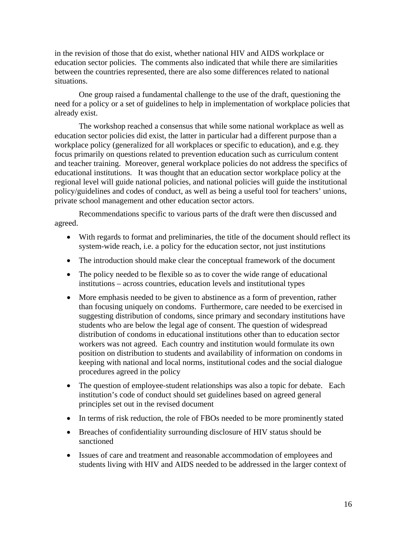in the revision of those that do exist, whether national HIV and AIDS workplace or education sector policies. The comments also indicated that while there are similarities between the countries represented, there are also some differences related to national situations.

One group raised a fundamental challenge to the use of the draft, questioning the need for a policy or a set of guidelines to help in implementation of workplace policies that already exist.

The workshop reached a consensus that while some national workplace as well as education sector policies did exist, the latter in particular had a different purpose than a workplace policy (generalized for all workplaces or specific to education), and e.g. they focus primarily on questions related to prevention education such as curriculum content and teacher training. Moreover, general workplace policies do not address the specifics of educational institutions. It was thought that an education sector workplace policy at the regional level will guide national policies, and national policies will guide the institutional policy/guidelines and codes of conduct, as well as being a useful tool for teachers' unions, private school management and other education sector actors.

Recommendations specific to various parts of the draft were then discussed and agreed.

- With regards to format and preliminaries, the title of the document should reflect its system-wide reach, i.e. a policy for the education sector, not just institutions
- The introduction should make clear the conceptual framework of the document
- The policy needed to be flexible so as to cover the wide range of educational institutions – across countries, education levels and institutional types
- More emphasis needed to be given to abstinence as a form of prevention, rather than focusing uniquely on condoms. Furthermore, care needed to be exercised in suggesting distribution of condoms, since primary and secondary institutions have students who are below the legal age of consent. The question of widespread distribution of condoms in educational institutions other than to education sector workers was not agreed. Each country and institution would formulate its own position on distribution to students and availability of information on condoms in keeping with national and local norms, institutional codes and the social dialogue procedures agreed in the policy
- The question of employee-student relationships was also a topic for debate. Each institution's code of conduct should set guidelines based on agreed general principles set out in the revised document
- In terms of risk reduction, the role of FBOs needed to be more prominently stated
- Breaches of confidentiality surrounding disclosure of HIV status should be sanctioned
- Issues of care and treatment and reasonable accommodation of employees and students living with HIV and AIDS needed to be addressed in the larger context of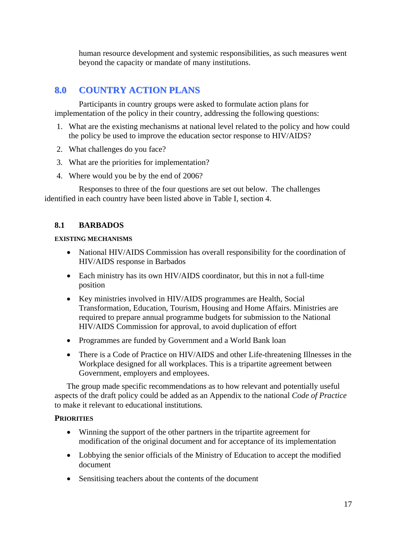human resource development and systemic responsibilities, as such measures went beyond the capacity or mandate of many institutions.

# **8.0 COUNTRY ACTION PLANS**

Participants in country groups were asked to formulate action plans for implementation of the policy in their country, addressing the following questions:

- 1. What are the existing mechanisms at national level related to the policy and how could the policy be used to improve the education sector response to HIV/AIDS?
- 2. What challenges do you face?
- 3. What are the priorities for implementation?
- 4. Where would you be by the end of 2006?

Responses to three of the four questions are set out below. The challenges identified in each country have been listed above in Table I, section 4.

## **8.1 BARBADOS**

#### **EXISTING MECHANISMS**

- National HIV/AIDS Commission has overall responsibility for the coordination of HIV/AIDS response in Barbados
- Each ministry has its own HIV/AIDS coordinator, but this in not a full-time position
- Key ministries involved in HIV/AIDS programmes are Health, Social Transformation, Education, Tourism, Housing and Home Affairs. Ministries are required to prepare annual programme budgets for submission to the National HIV/AIDS Commission for approval, to avoid duplication of effort
- Programmes are funded by Government and a World Bank loan
- There is a Code of Practice on HIV/AIDS and other Life-threatening Illnesses in the Workplace designed for all workplaces. This is a tripartite agreement between Government, employers and employees.

The group made specific recommendations as to how relevant and potentially useful aspects of the draft policy could be added as an Appendix to the national *Code of Practice*  to make it relevant to educational institutions*.* 

## **PRIORITIES**

- Winning the support of the other partners in the tripartite agreement for modification of the original document and for acceptance of its implementation
- Lobbying the senior officials of the Ministry of Education to accept the modified document
- Sensitising teachers about the contents of the document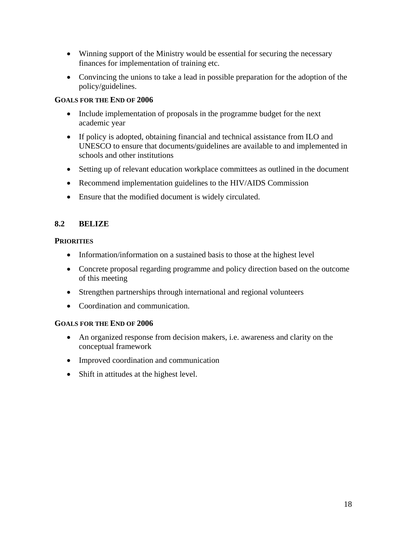- Winning support of the Ministry would be essential for securing the necessary finances for implementation of training etc.
- Convincing the unions to take a lead in possible preparation for the adoption of the policy/guidelines.

### **GOALS FOR THE END OF 2006**

- Include implementation of proposals in the programme budget for the next academic year
- If policy is adopted, obtaining financial and technical assistance from ILO and UNESCO to ensure that documents/guidelines are available to and implemented in schools and other institutions
- Setting up of relevant education workplace committees as outlined in the document
- Recommend implementation guidelines to the HIV/AIDS Commission
- Ensure that the modified document is widely circulated.

## **8.2 BELIZE**

#### **PRIORITIES**

- Information/information on a sustained basis to those at the highest level
- Concrete proposal regarding programme and policy direction based on the outcome of this meeting
- Strengthen partnerships through international and regional volunteers
- Coordination and communication.

#### **GOALS FOR THE END OF 2006**

- An organized response from decision makers, i.e. awareness and clarity on the conceptual framework
- Improved coordination and communication
- Shift in attitudes at the highest level.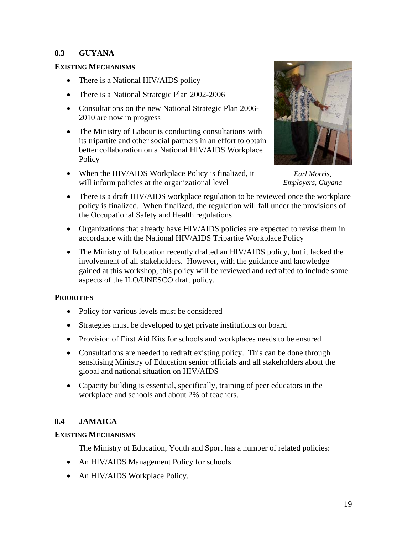# **8.3 GUYANA**

### **EXISTING MECHANISMS**

- There is a National HIV/AIDS policy
- There is a National Strategic Plan 2002-2006
- Consultations on the new National Strategic Plan 2006-2010 are now in progress
- The Ministry of Labour is conducting consultations with its tripartite and other social partners in an effort to obtain better collaboration on a National HIV/AIDS Workplace Policy
- When the HIV/AIDS Workplace Policy is finalized, it will inform policies at the organizational level



*Earl Morris, Employers, Guyana* 

- There is a draft HIV/AIDS workplace regulation to be reviewed once the workplace policy is finalized. When finalized, the regulation will fall under the provisions of the Occupational Safety and Health regulations
- Organizations that already have HIV/AIDS policies are expected to revise them in accordance with the National HIV/AIDS Tripartite Workplace Policy
- The Ministry of Education recently drafted an HIV/AIDS policy, but it lacked the involvement of all stakeholders. However, with the guidance and knowledge gained at this workshop, this policy will be reviewed and redrafted to include some aspects of the ILO/UNESCO draft policy.

## **PRIORITIES**

- Policy for various levels must be considered
- Strategies must be developed to get private institutions on board
- Provision of First Aid Kits for schools and workplaces needs to be ensured
- Consultations are needed to redraft existing policy. This can be done through sensitising Ministry of Education senior officials and all stakeholders about the global and national situation on HIV/AIDS
- Capacity building is essential, specifically, training of peer educators in the workplace and schools and about 2% of teachers.

## **8.4 JAMAICA**

## **EXISTING MECHANISMS**

The Ministry of Education, Youth and Sport has a number of related policies:

- An HIV/AIDS Management Policy for schools
- An HIV/AIDS Workplace Policy.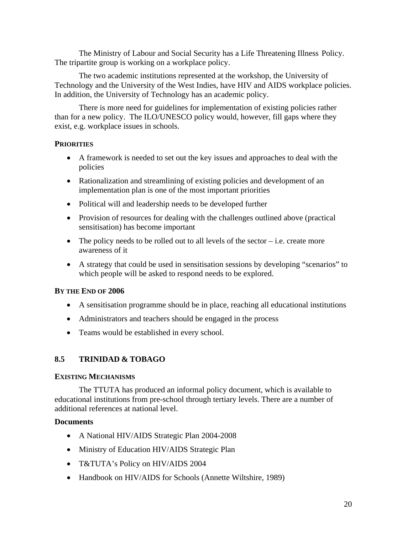The Ministry of Labour and Social Security has a Life Threatening Illness Policy. The tripartite group is working on a workplace policy.

The two academic institutions represented at the workshop, the University of Technology and the University of the West Indies, have HIV and AIDS workplace policies. In addition, the University of Technology has an academic policy.

There is more need for guidelines for implementation of existing policies rather than for a new policy. The ILO/UNESCO policy would, however, fill gaps where they exist, e.g. workplace issues in schools.

### **PRIORITIES**

- A framework is needed to set out the key issues and approaches to deal with the policies
- Rationalization and streamlining of existing policies and development of an implementation plan is one of the most important priorities
- Political will and leadership needs to be developed further
- Provision of resources for dealing with the challenges outlined above (practical sensitisation) has become important
- The policy needs to be rolled out to all levels of the sector  $-$  i.e. create more awareness of it
- A strategy that could be used in sensitisation sessions by developing "scenarios" to which people will be asked to respond needs to be explored.

#### **BY THE END OF 2006**

- A sensitisation programme should be in place, reaching all educational institutions
- Administrators and teachers should be engaged in the process
- Teams would be established in every school.

# **8.5 TRINIDAD & TOBAGO**

#### **EXISTING MECHANISMS**

The TTUTA has produced an informal policy document, which is available to educational institutions from pre-school through tertiary levels. There are a number of additional references at national level.

#### **Documents**

- A National HIV/AIDS Strategic Plan 2004-2008
- Ministry of Education HIV/AIDS Strategic Plan
- T&TUTA's Policy on HIV/AIDS 2004
- Handbook on HIV/AIDS for Schools (Annette Wiltshire, 1989)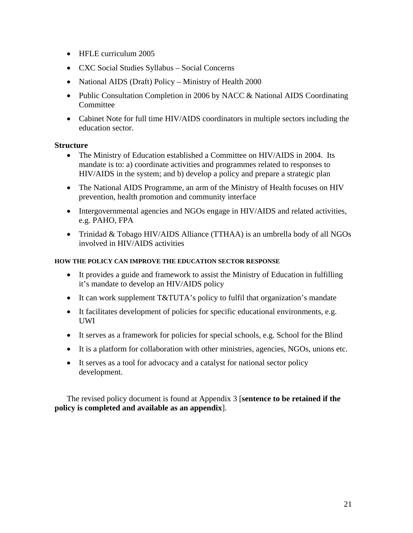- HFLE curriculum 2005
- CXC Social Studies Syllabus Social Concerns
- National AIDS (Draft) Policy Ministry of Health 2000
- Public Consultation Completion in 2006 by NACC & National AIDS Coordinating **Committee**
- Cabinet Note for full time HIV/AIDS coordinators in multiple sectors including the education sector.

### **Structure**

- The Ministry of Education established a Committee on HIV/AIDS in 2004. Its mandate is to: a) coordinate activities and programmes related to responses to HIV/AIDS in the system; and b) develop a policy and prepare a strategic plan
- The National AIDS Programme, an arm of the Ministry of Health focuses on HIV prevention, health promotion and community interface
- Intergovernmental agencies and NGOs engage in HIV/AIDS and related activities, e.g. PAHO, FPA
- Trinidad & Tobago HIV/AIDS Alliance (TTHAA) is an umbrella body of all NGOs involved in HIV/AIDS activities

#### **HOW THE POLICY CAN IMPROVE THE EDUCATION SECTOR RESPONSE**

- It provides a guide and framework to assist the Ministry of Education in fulfilling it's mandate to develop an HIV/AIDS policy
- It can work supplement T&TUTA's policy to fulfil that organization's mandate
- It facilitates development of policies for specific educational environments, e.g. UWI
- It serves as a framework for policies for special schools, e.g. School for the Blind
- It is a platform for collaboration with other ministries, agencies, NGOs, unions etc.
- It serves as a tool for advocacy and a catalyst for national sector policy development.

The revised policy document is found at Appendix 3 [**sentence to be retained if the policy is completed and available as an appendix**].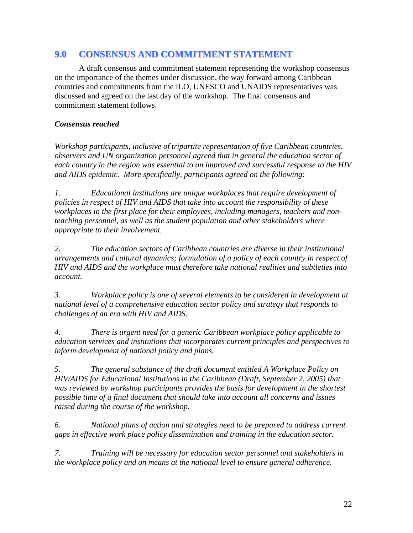# **9.0 CONSENSUS AND COMMITMENT STATEMENT**

A draft consensus and commitment statement representing the workshop consensus on the importance of the themes under discussion, the way forward among Caribbean countries and commitments from the ILO, UNESCO and UNAIDS representatives was discussed and agreed on the last day of the workshop. The final consensus and commitment statement follows.

### *Consensus reached*

*Workshop participants, inclusive of tripartite representation of five Caribbean countries, observers and UN organization personnel agreed that in general the education sector of each country in the region was essential to an improved and successful response to the HIV and AIDS epidemic. More specifically, participants agreed on the following:* 

*1. Educational institutions are unique workplaces that require development of policies in respect of HIV and AIDS that take into account the responsibility of these workplaces in the first place for their employees, including managers, teachers and nonteaching personnel, as well as the student population and other stakeholders where appropriate to their involvement.* 

*2. The education sectors of Caribbean countries are diverse in their institutional arrangements and cultural dynamics; formulation of a policy of each country in respect of HIV and AIDS and the workplace must therefore take national realities and subtleties into account.* 

*3. Workplace policy is one of several elements to be considered in development at national level of a comprehensive education sector policy and strategy that responds to challenges of an era with HIV and AIDS.* 

*4. There is urgent need for a generic Caribbean workplace policy applicable to education services and institutions that incorporates current principles and perspectives to inform development of national policy and plans.* 

*5. The general substance of the draft document entitled A Workplace Policy on HIV/AIDS for Educational Institutions in the Caribbean (Draft, September 2, 2005) that was reviewed by workshop participants provides the basis for development in the shortest possible time of a final document that should take into account all concerns and issues raised during the course of the workshop.* 

*6. National plans of action and strategies need to be prepared to address current gaps in effective work place policy dissemination and training in the education sector.* 

*7. Training will be necessary for education sector personnel and stakeholders in the workplace policy and on means at the national level to ensure general adherence.*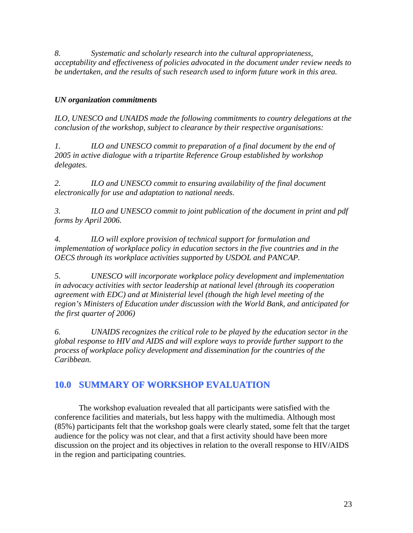*8. Systematic and scholarly research into the cultural appropriateness, acceptability and effectiveness of policies advocated in the document under review needs to be undertaken, and the results of such research used to inform future work in this area.* 

# *UN organization commitments*

*ILO, UNESCO and UNAIDS made the following commitments to country delegations at the conclusion of the workshop, subject to clearance by their respective organisations:* 

*1. ILO and UNESCO commit to preparation of a final document by the end of 2005 in active dialogue with a tripartite Reference Group established by workshop delegates.* 

*2. ILO and UNESCO commit to ensuring availability of the final document electronically for use and adaptation to national needs.* 

*3. ILO and UNESCO commit to joint publication of the document in print and pdf forms by April 2006.* 

*4. ILO will explore provision of technical support for formulation and implementation of workplace policy in education sectors in the five countries and in the OECS through its workplace activities supported by USDOL and PANCAP.* 

*5. UNESCO will incorporate workplace policy development and implementation in advocacy activities with sector leadership at national level (through its cooperation agreement with EDC) and at Ministerial level (though the high level meeting of the region's Ministers of Education under discussion with the World Bank, and anticipated for the first quarter of 2006)*

*6. UNAIDS recognizes the critical role to be played by the education sector in the global response to HIV and AIDS and will explore ways to provide further support to the process of workplace policy development and dissemination for the countries of the Caribbean.* 

# **10.0 SUMMARY OF WORKSHOP EVALUATION**

The workshop evaluation revealed that all participants were satisfied with the conference facilities and materials, but less happy with the multimedia. Although most (85%) participants felt that the workshop goals were clearly stated, some felt that the target audience for the policy was not clear, and that a first activity should have been more discussion on the project and its objectives in relation to the overall response to HIV/AIDS in the region and participating countries.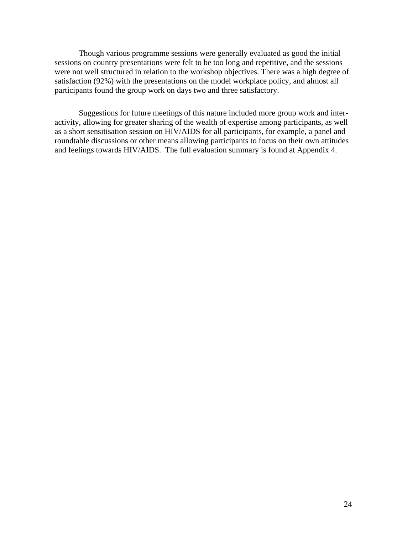Though various programme sessions were generally evaluated as good the initial sessions on country presentations were felt to be too long and repetitive, and the sessions were not well structured in relation to the workshop objectives. There was a high degree of satisfaction (92%) with the presentations on the model workplace policy, and almost all participants found the group work on days two and three satisfactory.

Suggestions for future meetings of this nature included more group work and interactivity, allowing for greater sharing of the wealth of expertise among participants, as well as a short sensitisation session on HIV/AIDS for all participants, for example, a panel and roundtable discussions or other means allowing participants to focus on their own attitudes and feelings towards HIV/AIDS. The full evaluation summary is found at Appendix 4.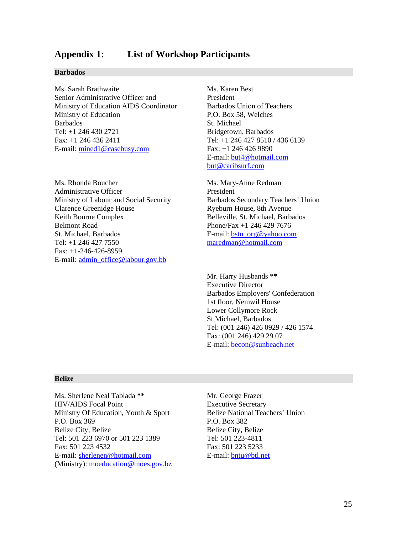## **Appendix 1: List of Workshop Participants**

#### **Barbados**

Ms. Sarah Brathwaite Senior Administrative Officer and Ministry of Education AIDS Coordinator Ministry of Education Barbados Tel: +1 246 430 2721 Fax: +1 246 436 2411 E-mail: [mined1@casebusy.com](mailto:mined1@casebusy.com)

Ms. Rhonda Boucher Administrative Officer Ministry of Labour and Social Security Clarence Greenidge House Keith Bourne Complex Belmont Road St. Michael, Barbados Tel: +1 246 427 7550 Fax: +1-246-426-8959 E-mail: [admin\\_office@labour.gov.bb](mailto:sfarnum@labour.gov.bb)

Ms. Karen Best President Barbados Union of Teachers P.O. Box 58, Welches St. Michael Bridgetown, Barbados Tel: +1 246 427 8510 / 436 6139 Fax: +1 246 426 9890 E-mail: [but4@hotmail.com](mailto:but4@hotmail.com) [but@caribsurf.com](mailto:but@caribsurf.com)

Ms. Mary-Anne Redman President Barbados Secondary Teachers' Union Ryeburn House, 8th Avenue Belleville, St. Michael, Barbados Phone/Fax +1 246 429 7676 E-mail: [bstu\\_org@yahoo.com](mailto:bstu_org@yahoo.com) [maredman@hotmail.com](mailto:maredman@hotmail.com)

Mr. Harry Husbands **\*\*** Executive Director Barbados Employers' Confederation 1st floor, Nemwil House Lower Collymore Rock St Michael, Barbados Tel: (001 246) 426 0929 / 426 1574 Fax: (001 246) 429 29 07 E-mail: [becon@sunbeach.net](mailto:becon@sunbeach.net)

#### **Belize**

Ms. Sherlene Neal Tablada **\*\***  HIV/AIDS Focal Point Ministry Of Education, Youth & Sport P.O. Box 369 Belize City, Belize Tel: 501 223 6970 or 501 223 1389 Fax: 501 223 4532 E-mail: [sherlenen@hotmail.com](mailto:sherlenen@hotmail.com) (Ministry): [moeducation@moes.gov.bz](mailto:moeducation@moes.gov.bz) Mr. George Frazer Executive Secretary Belize National Teachers' Union P.O. Box 382 Belize City, Belize Tel: 501 223-4811 Fax: 501 223 5233 E-mail: [bntu@btl.net](mailto:bntu@btl.net)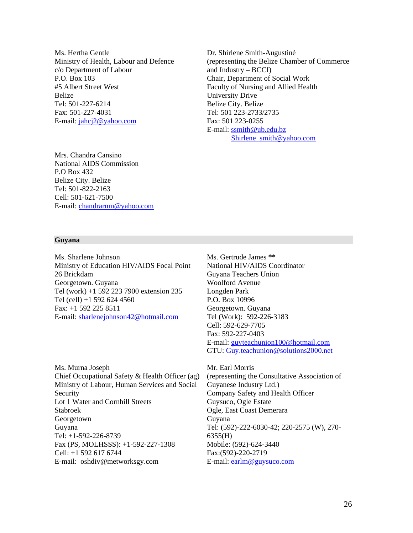Ms. Hertha Gentle Ministry of Health, Labour and Defence c/o Department of Labour P.O. Box 103 #5 Albert Street West Belize Tel: 501-227-6214 Fax: 501-227-4031 E-mail: [jahcj2@yahoo.com](mailto:jahcj2@yahoo.com)

Dr. Shirlene Smith-Augustiné (representing the Belize Chamber of Commerce and Industry – BCCI) Chair, Department of Social Work Faculty of Nursing and Allied Health University Drive Belize City. Belize Tel: 501 223-2733/2735 Fax: 501 223-0255 E-mail: [ssmith@ub.edu.bz](mailto:ssmith@ub.edu.bz) [Shirlene\\_smith@yahoo.com](mailto:Shirlene_smith@yahoo.com)

Mrs. Chandra Cansino National AIDS Commission P.O Box 432 Belize City. Belize Tel: 501-822-2163 Cell: 501-621-7500 E-mail: [chandrarnm@yahoo.com](mailto:chandrarnm@yahoo.com)

#### **Guyana**

Ms. Sharlene Johnson Ministry of Education HIV/AIDS Focal Point 26 Brickdam Georgetown. Guyana Tel (work) +1 592 223 7900 extension 235 Tel (cell) +1 592 624 4560 Fax: +1 592 225 8511 E-mail: [sharlenejohnson42@hotmail.com](mailto:sharlenejohnson42@hotmail.com)

Ms. Murna Joseph Chief Occupational Safety & Health Officer (ag) Ministry of Labour, Human Services and Social Security Lot 1 Water and Cornhill Streets Stabroek Georgetown Guyana Tel: +1-592-226-8739 Fax (PS, MOLHSSS): +1-592-227-1308 Cell: +1 592 617 6744 E-mail: oshdiv@metworksgy.com

Ms. Gertrude James **\*\***  National HIV/AIDS Coordinator Guyana Teachers Union Woolford Avenue Longden Park P.O. Box 10996 Georgetown. Guyana Tel (Work): 592-226-3183 Cell: 592-629-7705 Fax: 592-227-0403 E-mail: [guyteachunion100@hotmail.com](mailto:guyteachunion100@hotmail.com) GTU: [Guy.teachunion@solutions2000.net](mailto:Guy.teachunion@solutions2000.net)

Mr. Earl Morris (representing the Consultative Association of Guyanese Industry Ltd.) Company Safety and Health Officer Guysuco, Ogle Estate Ogle, East Coast Demerara Guyana Tel: (592)-222-6030-42; 220-2575 (W), 270- 6355(H) Mobile: (592)-624-3440 Fax:(592)-220-2719 E-mail: [earlm@guysuco.com](mailto:earlm@guysuco.com)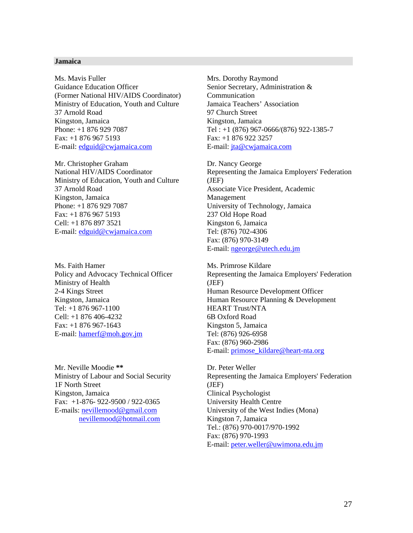#### **Jamaica**

Ms. Mavis Fuller Guidance Education Officer (Former National HIV/AIDS Coordinator) Ministry of Education, Youth and Culture 37 Arnold Road Kingston, Jamaica Phone: +1 876 929 7087 Fax: +1 876 967 5193 E-mail: [edguid@cwjamaica.com](mailto:edguid@cwjamaica.com) 

Mr. Christopher Graham National HIV/AIDS Coordinator Ministry of Education, Youth and Culture 37 Arnold Road Kingston, Jamaica Phone: +1 876 929 7087 Fax: +1 876 967 5193 Cell: +1 876 897 3521 E-mail: [edguid@cwjamaica.com](mailto:edguid@cwjamaica.com) 

Ms. Faith Hamer Policy and Advocacy Technical Officer Ministry of Health 2-4 Kings Street Kingston, Jamaica Tel: +1 876 967-1100  $Cell: +1, 876, 406-4232.$ Fax: +1 876 967-1643 E-mail: [hamerf@moh.gov.jm](mailto:hamerf@moh.gov.jm)

Mr. Neville Moodie **\*\*** Ministry of Labour and Social Security 1F North Street Kingston, Jamaica Fax: +1-876- 922-9500 / 922-0365 E-mails: [nevillemood@gmail.com](mailto:nevillemood@gmail.com) [nevillemood@hotmail.com](mailto:nevillemood@hotmail.com)

Mrs. Dorothy Raymond Senior Secretary, Administration & Communication Jamaica Teachers' Association 97 Church Street Kingston, Jamaica Tel : +1 (876) 967-0666/(876) 922-1385-7 Fax: +1 876 922 3257 E-mail: [jta@cwjamaica.com](mailto:jta@cwjamaica.com)

Dr. Nancy George Representing the Jamaica Employers' Federation (JEF) Associate Vice President, Academic Management University of Technology, Jamaica 237 Old Hope Road Kingston 6, Jamaica Tel: (876) 702-4306 Fax: (876) 970-3149 E-mail: [ngeorge@utech.edu.jm](mailto:ngeorge@utech.edu.jm)

Ms. Primrose Kildare Representing the Jamaica Employers' Federation (JEF) Human Resource Development Officer Human Resource Planning & Development HEART Trust/NTA 6B Oxford Road Kingston 5, Jamaica Tel: (876) 926-6958 Fax: (876) 960-2986 E-mail: [primose\\_kildare@heart-nta.org](mailto:primose_kildare@heart-nta.org)

Dr. Peter Weller Representing the Jamaica Employers' Federation (JEF) Clinical Psychologist University Health Centre University of the West Indies (Mona) Kingston 7, Jamaica Tel.: (876) 970-0017/970-1992 Fax: (876) 970-1993 E-mail: [peter.weller@uwimona.edu.jm](mailto:peter.weller@uwimona.edu.jm)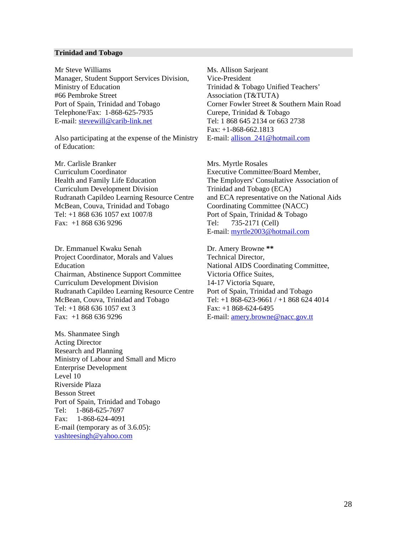#### **Trinidad and Tobago**

Mr Steve Williams Manager, Student Support Services Division, Ministry of Education #66 Pembroke Street Port of Spain, Trinidad and Tobago Telephone/Fax: 1-868-625-7935 E-mail: [stevewill@carib-link.net](mailto:stevewill@carib-link.net)

Also participating at the expense of the Ministry of Education:

Mr. Carlisle Branker Curriculum Coordinator Health and Family Life Education Curriculum Development Division Rudranath Capildeo Learning Resource Centre McBean, Couva, Trinidad and Tobago Tel: +1 868 636 1057 ext 1007/8 Fax: +1 868 636 9296

Dr. Emmanuel Kwaku Senah Project Coordinator, Morals and Values Education Chairman, Abstinence Support Committee Curriculum Development Division Rudranath Capildeo Learning Resource Centre McBean, Couva, Trinidad and Tobago Tel: +1 868 636 1057 ext 3  $Fax: +1, 868, 636, 9296$ 

Ms. Shanmatee Singh Acting Director Research and Planning Ministry of Labour and Small and Micro Enterprise Development Level 10 Riverside Plaza Besson Street Port of Spain, Trinidad and Tobago Tel: 1-868-625-7697 Fax: 1-868-624-4091 E-mail (temporary as of 3.6.05): [vashteesingh@yahoo.com](mailto:vashteesingh@yahoo.com)

Ms. Allison Sarjeant Vice-President Trinidad & Tobago Unified Teachers' Association (T&TUTA) Corner Fowler Street & Southern Main Road Curepe, Trinidad & Tobago Tel: 1 868 645 2134 or 663 2738 Fax: +1-868-662.1813 E-mail: [allison\\_241@hotmail.com](mailto:allison_241@hotmail.com)

Mrs. Myrtle Rosales Executive Committee/Board Member, The Employers' Consultative Association of Trinidad and Tobago (ECA) and ECA representative on the National Aids Coordinating Committee (NACC) Port of Spain, Trinidad & Tobago Tel: 735-2171 (Cell) E-mail: [myrtle2003@hotmail.com](mailto:myrtle2000@hotmail.com)

Dr. Amery Browne **\*\*** Technical Director, National AIDS Coordinating Committee, Victoria Office Suites, 14-17 Victoria Square, Port of Spain, Trinidad and Tobago Tel: +1 868-623-9661 / +1 868 624 4014 Fax: +1 868-624-6495 E-mail: [amery.browne@nacc.gov.tt](mailto:amery.browne@nacc.gov.tt)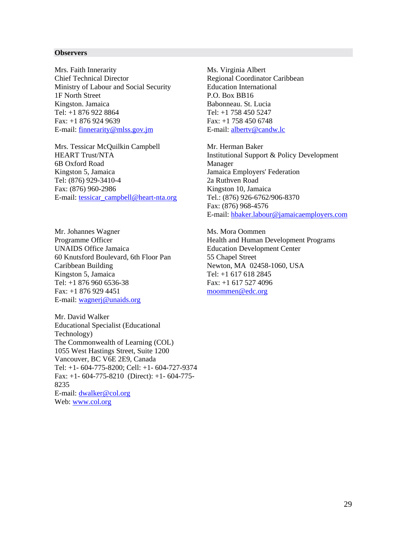#### **Observers**

Mrs. Faith Innerarity Chief Technical Director Ministry of Labour and Social Security 1F North Street Kingston. Jamaica Tel: +1 876 922 8864 Fax: +1 876 924 9639 E-mail: [finnerarity@mlss.gov.jm](mailto:finnerarity@mlss.gov.jm)

Mrs. Tessicar McQuilkin Campbell HEART Trust/NTA 6B Oxford Road Kingston 5, Jamaica Tel: (876) 929-3410-4 Fax: (876) 960-2986 E-mail: [tessicar\\_campbell@heart-nta.org](mailto:tcampbell@heart-nta.org)

Mr. Johannes Wagner Programme Officer UNAIDS Office Jamaica 60 Knutsford Boulevard, 6th Floor Pan Caribbean Building Kingston 5, Jamaica Tel: +1 876 960 6536-38 Fax: +1 876 929 4451 E-mail: [wagnerj@unaids.org](mailto:wagnerj@unaids.org)

Mr. David Walker Educational Specialist (Educational Technology) The Commonwealth of Learning (COL) 1055 West Hastings Street, Suite 1200 Vancouver, BC V6E 2E9, Canada Tel: +1- 604-775-8200; Cell: +1- 604-727-9374 Fax: +1- 604-775-8210 (Direct): +1- 604-775- 8235 E-mail: [dwalker@col.org](mailto:dwalker@col.org) Web: [www.col.org](http://www.col.org/)

Ms. Virginia Albert Regional Coordinator Caribbean Education International P.O. Box BB16 Babonneau. St. Lucia Tel: +1 758 450 5247 Fax: +1 758 450 6748 E-mail: [albertv@candw.lc](mailto:albertv@candw.lc)

Mr. Herman Baker Institutional Support & Policy Development Manager Jamaica Employers' Federation 2a Ruthven Road Kingston 10, Jamaica Tel.: (876) 926-6762/906-8370 Fax: (876) 968-4576 E-mail: [hbaker.labour@jamaicaemployers.com](mailto:hbaker.labour@jamaicaemployers.com)

Ms. Mora Oommen Health and Human Development Programs Education Development Center 55 Chapel Street Newton, MA 02458-1060, USA Tel: +1 617 618 2845 Fax: +1 617 527 4096 [moommen@edc.org](mailto:moommen@edc.org)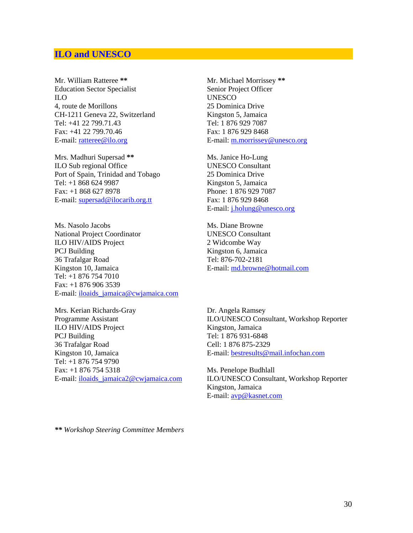### **ILO and UNESCO**

Mr. William Ratteree **\*\*** Education Sector Specialist ILO 4, route de Morillons CH-1211 Geneva 22, Switzerland Tel: +41 22 799.71.43 Fax: +41 22 799.70.46 E-mail: [ratteree@ilo.org](mailto:ratteree@ilo.org) 

Mrs. Madhuri Supersad **\*\*** ILO Sub regional Office Port of Spain, Trinidad and Tobago Tel: +1 868 624 9987 Fax: +1 868 627 8978 E-mail: [supersad@ilocarib.org.tt](mailto:supersad@ilocarib.org.tt)

Ms. Nasolo Jacobs National Project Coordinator ILO HIV/AIDS Project PCJ Building 36 Trafalgar Road Kingston 10, Jamaica Tel: +1 876 754 7010 Fax: +1 876 906 3539 E-mail: [iloaids\\_jamaica@cwjamaica.com](mailto:iloaids_jamaica@cwjamaica.com) 

Mrs. Kerian Richards-Gray Programme Assistant ILO HIV/AIDS Project PCJ Building 36 Trafalgar Road Kingston 10, Jamaica Tel: +1 876 754 9790 Fax: +1 876 754 5318 E-mail: [iloaids\\_jamaica2@cwjamaica.com](mailto:iloaids_jamaica2@cwjamaica.com) Mr. Michael Morrissey **\*\*** Senior Project Officer **UNESCO** 25 Dominica Drive Kingston 5, Jamaica Tel: 1 876 929 7087 Fax: 1 876 929 8468 E-mail: [m.morrissey@unesco.org](mailto:m.morrissey@unesco.org)

Ms. Janice Ho-Lung UNESCO Consultant 25 Dominica Drive Kingston 5, Jamaica Phone: 1 876 929 7087 Fax: 1 876 929 8468 E-mail: [j.holung@unesco.org](mailto:j.holung@unesco.org)

Ms. Diane Browne UNESCO Consultant 2 Widcombe Way Kingston 6, Jamaica Tel: 876-702-2181 E-mail: [md.browne@hotmail.com](mailto:md.browne@hotmail.com)

Dr. Angela Ramsey ILO/UNESCO Consultant, Workshop Reporter Kingston, Jamaica Tel: 1 876 931-6848 Cell: 1 876 875-2329 E-mail: [bestresults@mail.infochan.com](mailto:bestresults@mail.infochan.com) 

Ms. Penelope Budhlall ILO/UNESCO Consultant, Workshop Reporter Kingston, Jamaica E-mail: [avp@kasnet.com](mailto:avp@kasnet.com)

*\*\* Workshop Steering Committee Members*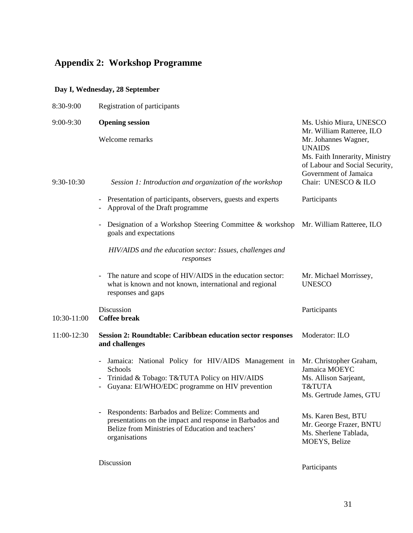# **Appendix 2: Workshop Programme**

# **Day I, Wednesday, 28 September**

| 8:30-9:00               | Registration of participants                                                                                                                                                                                 |                                                                                                                                                                                                                   |
|-------------------------|--------------------------------------------------------------------------------------------------------------------------------------------------------------------------------------------------------------|-------------------------------------------------------------------------------------------------------------------------------------------------------------------------------------------------------------------|
| 9:00-9:30<br>9:30-10:30 | <b>Opening session</b><br>Welcome remarks<br>Session 1: Introduction and organization of the workshop                                                                                                        | Ms. Ushio Miura, UNESCO<br>Mr. William Ratteree, ILO<br>Mr. Johannes Wagner,<br><b>UNAIDS</b><br>Ms. Faith Innerarity, Ministry<br>of Labour and Social Security,<br>Government of Jamaica<br>Chair: UNESCO & ILO |
|                         | Presentation of participants, observers, guests and experts<br>$\qquad \qquad -$<br>Approval of the Draft programme                                                                                          | Participants                                                                                                                                                                                                      |
|                         | Designation of a Workshop Steering Committee & workshop<br>-<br>goals and expectations<br>HIV/AIDS and the education sector: Issues, challenges and<br>responses                                             | Mr. William Ratteree, ILO                                                                                                                                                                                         |
|                         | The nature and scope of HIV/AIDS in the education sector:<br>$\overline{\phantom{a}}$<br>what is known and not known, international and regional<br>responses and gaps                                       | Mr. Michael Morrissey,<br><b>UNESCO</b>                                                                                                                                                                           |
| 10:30-11:00             | Discussion<br><b>Coffee break</b>                                                                                                                                                                            | Participants                                                                                                                                                                                                      |
| 11:00-12:30             | <b>Session 2: Roundtable: Caribbean education sector responses</b><br>and challenges                                                                                                                         | Moderator: ILO                                                                                                                                                                                                    |
|                         | Jamaica: National Policy for HIV/AIDS Management in<br>Schools<br>Trinidad & Tobago: T&TUTA Policy on HIV/AIDS<br>Guyana: EI/WHO/EDC programme on HIV prevention                                             | Mr. Christopher Graham,<br>Jamaica MOEYC<br>Ms. Allison Sarjeant,<br>T&TUTA<br>Ms. Gertrude James, GTU                                                                                                            |
|                         | Respondents: Barbados and Belize: Comments and<br>$\overline{\phantom{0}}$<br>presentations on the impact and response in Barbados and<br>Belize from Ministries of Education and teachers'<br>organisations | Ms. Karen Best, BTU<br>Mr. George Frazer, BNTU<br>Ms. Sherlene Tablada,<br>MOEYS, Belize                                                                                                                          |
|                         | Discussion                                                                                                                                                                                                   | Participants                                                                                                                                                                                                      |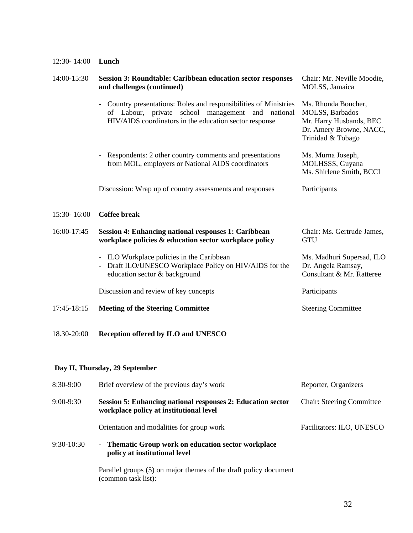| 12:30-14:00 | Lunch                                                                                                                                                                                                      |                                                                                                                   |
|-------------|------------------------------------------------------------------------------------------------------------------------------------------------------------------------------------------------------------|-------------------------------------------------------------------------------------------------------------------|
| 14:00-15:30 | <b>Session 3: Roundtable: Caribbean education sector responses</b><br>and challenges (continued)                                                                                                           | Chair: Mr. Neville Moodie,<br>MOLSS, Jamaica                                                                      |
|             | Country presentations: Roles and responsibilities of Ministries<br>$\overline{\phantom{a}}$<br>of Labour, private school management and national<br>HIV/AIDS coordinators in the education sector response | Ms. Rhonda Boucher,<br>MOLSS, Barbados<br>Mr. Harry Husbands, BEC<br>Dr. Amery Browne, NACC,<br>Trinidad & Tobago |
|             | Respondents: 2 other country comments and presentations<br>$\overline{\phantom{a}}$<br>from MOL, employers or National AIDS coordinators                                                                   | Ms. Murna Joseph,<br>MOLHSSS, Guyana<br>Ms. Shirlene Smith, BCCI                                                  |
|             | Discussion: Wrap up of country assessments and responses                                                                                                                                                   | Participants                                                                                                      |
| 15:30-16:00 | <b>Coffee break</b>                                                                                                                                                                                        |                                                                                                                   |
| 16:00-17:45 | <b>Session 4: Enhancing national responses 1: Caribbean</b><br>workplace policies & education sector workplace policy                                                                                      | Chair: Ms. Gertrude James,<br><b>GTU</b>                                                                          |
|             | - ILO Workplace policies in the Caribbean<br>Draft ILO/UNESCO Workplace Policy on HIV/AIDS for the<br>education sector & background                                                                        | Ms. Madhuri Supersad, ILO<br>Dr. Angela Ramsay,<br>Consultant & Mr. Ratteree                                      |
|             | Discussion and review of key concepts                                                                                                                                                                      | Participants                                                                                                      |
| 17:45-18:15 | <b>Meeting of the Steering Committee</b>                                                                                                                                                                   | <b>Steering Committee</b>                                                                                         |

# 18.30-20:00 **Reception offered by ILO and UNESCO**

# **Day II, Thursday, 29 September**

| $8:30-9:00$  | Brief overview of the previous day's work                                                                     | Reporter, Organizers             |  |
|--------------|---------------------------------------------------------------------------------------------------------------|----------------------------------|--|
| $9:00-9:30$  | <b>Session 5: Enhancing national responses 2: Education sector</b><br>workplace policy at institutional level | <b>Chair: Steering Committee</b> |  |
|              | Orientation and modalities for group work                                                                     | Facilitators: ILO, UNESCO        |  |
| $9:30-10:30$ | - Thematic Group work on education sector workplace<br>policy at institutional level                          |                                  |  |
|              | Parallel groups (5) on major themes of the draft policy document<br>(common task list):                       |                                  |  |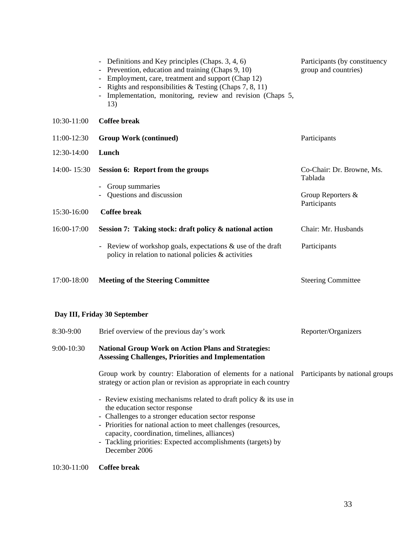|             | Definitions and Key principles (Chaps. 3, 4, 6)<br>$\overline{\phantom{a}}$<br>Prevention, education and training (Chaps 9, 10)<br>Employment, care, treatment and support (Chap 12)<br>Rights and responsibilities & Testing (Chaps 7, 8, 11)<br>Implementation, monitoring, review and revision (Chaps 5,<br>13) | Participants (by constituency<br>group and countries) |  |  |  |
|-------------|--------------------------------------------------------------------------------------------------------------------------------------------------------------------------------------------------------------------------------------------------------------------------------------------------------------------|-------------------------------------------------------|--|--|--|
| 10:30-11:00 | <b>Coffee break</b>                                                                                                                                                                                                                                                                                                |                                                       |  |  |  |
| 11:00-12:30 | <b>Group Work (continued)</b>                                                                                                                                                                                                                                                                                      | Participants                                          |  |  |  |
| 12:30-14:00 | Lunch                                                                                                                                                                                                                                                                                                              |                                                       |  |  |  |
| 14:00-15:30 | Session 6: Report from the groups<br>Group summaries                                                                                                                                                                                                                                                               | Co-Chair: Dr. Browne, Ms.<br>Tablada                  |  |  |  |
|             | Questions and discussion                                                                                                                                                                                                                                                                                           | Group Reporters &<br>Participants                     |  |  |  |
| 15:30-16:00 | <b>Coffee break</b>                                                                                                                                                                                                                                                                                                |                                                       |  |  |  |
| 16:00-17:00 | Session 7: Taking stock: draft policy & national action                                                                                                                                                                                                                                                            | Chair: Mr. Husbands                                   |  |  |  |
|             | - Review of workshop goals, expectations $\&$ use of the draft<br>policy in relation to national policies $\&$ activities                                                                                                                                                                                          | Participants                                          |  |  |  |
| 17:00-18:00 | <b>Meeting of the Steering Committee</b>                                                                                                                                                                                                                                                                           | <b>Steering Committee</b>                             |  |  |  |
|             | Day III, Friday 30 September                                                                                                                                                                                                                                                                                       |                                                       |  |  |  |
| 8:30-9:00   | Brief overview of the previous day's work                                                                                                                                                                                                                                                                          | Reporter/Organizers                                   |  |  |  |
| 9:00-10:30  | <b>National Group Work on Action Plans and Strategies:</b><br><b>Assessing Challenges, Priorities and Implementation</b>                                                                                                                                                                                           |                                                       |  |  |  |

Group work by country: Elaboration of elements for a national Participants by national groups strategy or action plan or revision as appropriate in each country

- Review existing mechanisms related to draft policy & its use in the education sector response
- Challenges to a stronger education sector response
- Priorities for national action to meet challenges (resources, capacity, coordination, timelines, alliances)
- Tackling priorities: Expected accomplishments (targets) by December 2006

10:30-11:00 **Coffee break**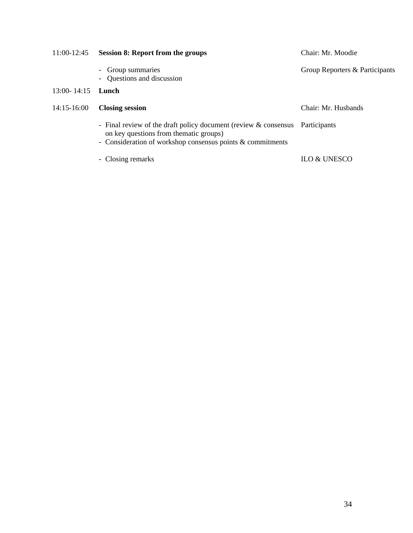| 11:00-12:45     | <b>Session 8: Report from the groups</b>                                                                                                                                                | Chair: Mr. Moodie              |  |  |
|-----------------|-----------------------------------------------------------------------------------------------------------------------------------------------------------------------------------------|--------------------------------|--|--|
|                 | - Group summaries<br>- Questions and discussion                                                                                                                                         | Group Reporters & Participants |  |  |
| $13:00 - 14:15$ | - Lunch                                                                                                                                                                                 |                                |  |  |
| 14:15-16:00     | <b>Closing session</b>                                                                                                                                                                  | Chair: Mr. Husbands            |  |  |
|                 | - Final review of the draft policy document (review & consensus Participants<br>on key questions from the matic groups)<br>- Consideration of workshop consensus points $&$ commitments |                                |  |  |
|                 | - Closing remarks                                                                                                                                                                       | <b>ILO &amp; UNESCO</b>        |  |  |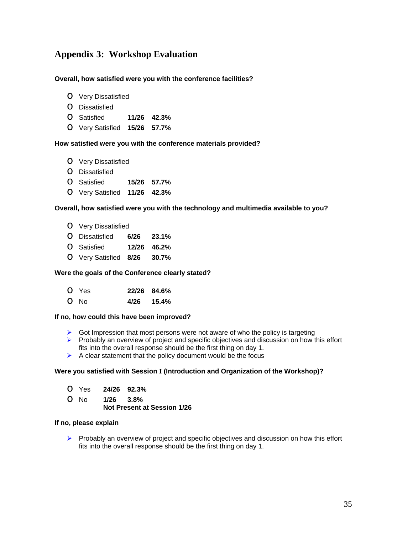# **Appendix 3: Workshop Evaluation**

#### **Overall, how satisfied were you with the conference facilities?**

- o Very Dissatisfied
- o Dissatisfied
- o Satisfied **11/26 42.3%**
- o Very Satisfied **15/26 57.7%**

#### **How satisfied were you with the conference materials provided?**

- o Very Dissatisfied
- o Dissatisfied
- o Satisfied **15/26 57.7%**
- o Very Satisfied **11/26 42.3%**

#### **Overall, how satisfied were you with the technology and multimedia available to you?**

- o Very Dissatisfied
- o Dissatisfied **6/26 23.1%**
- o Satisfied **12/26 46.2%**
- o Very Satisfied **8/26 30.7%**

#### **Were the goals of the Conference clearly stated?**

| O Yes | 22/26 84.6% |
|-------|-------------|
|       |             |

O No No **4/26 15.4%**

#### **If no, how could this have been improved?**

- $\triangleright$  Got Impression that most persons were not aware of who the policy is targeting
- $\triangleright$  Probably an overview of project and specific objectives and discussion on how this effort fits into the overall response should be the first thing on day 1.
- $\triangleright$  A clear statement that the policy document would be the focus

#### **Were you satisfied with Session I (Introduction and Organization of the Workshop)?**

- O Yes Yes **24/26 92.3%**
- O No No **1/26 3.8% Not Present at Session 1/26**

#### **If no, please explain**

 $\triangleright$  Probably an overview of project and specific objectives and discussion on how this effort fits into the overall response should be the first thing on day 1.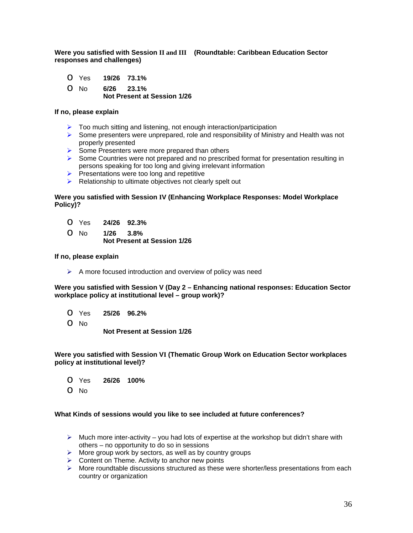**Were you satisfied with Session II and III (Roundtable: Caribbean Education Sector responses and challenges)** 

- O Yes Yes **19/26 73.1%**
- O No No **6/26 23.1%**
	- **Not Present at Session 1/26**

#### **If no, please explain**

- $\triangleright$  Too much sitting and listening, not enough interaction/participation
- $\triangleright$  Some presenters were unprepared, role and responsibility of Ministry and Health was not properly presented
- $\triangleright$  Some Presenters were more prepared than others
- $\triangleright$  Some Countries were not prepared and no prescribed format for presentation resulting in persons speaking for too long and giving irrelevant information
- $\triangleright$  Presentations were too long and repetitive
- $\triangleright$  Relationship to ultimate objectives not clearly spelt out

#### **Were you satisfied with Session IV (Enhancing Workplace Responses: Model Workplace Policy)?**

- O Yes Yes **24/26 92.3%**
- $O$  No No **1/26 3.8%**

**Not Present at Session 1/26** 

#### **If no, please explain**

 $\triangleright$  A more focused introduction and overview of policy was need

**Were you satisfied with Session V (Day 2 – Enhancing national responses: Education Sector workplace policy at institutional level – group work)?** 

- O Yes Yes **25/26 96.2%**
- o No
- **Not Present at Session 1/26**

#### **Were you satisfied with Session VI (Thematic Group Work on Education Sector workplaces policy at institutional level)?**

- O Yes Yes **26/26 100%**
- o No

#### **What Kinds of sessions would you like to see included at future conferences?**

- $\triangleright$  Much more inter-activity you had lots of expertise at the workshop but didn't share with others – no opportunity to do so in sessions
- $\triangleright$  More group work by sectors, as well as by country groups
- $\triangleright$  Content on Theme. Activity to anchor new points
- $\triangleright$  More roundtable discussions structured as these were shorter/less presentations from each country or organization